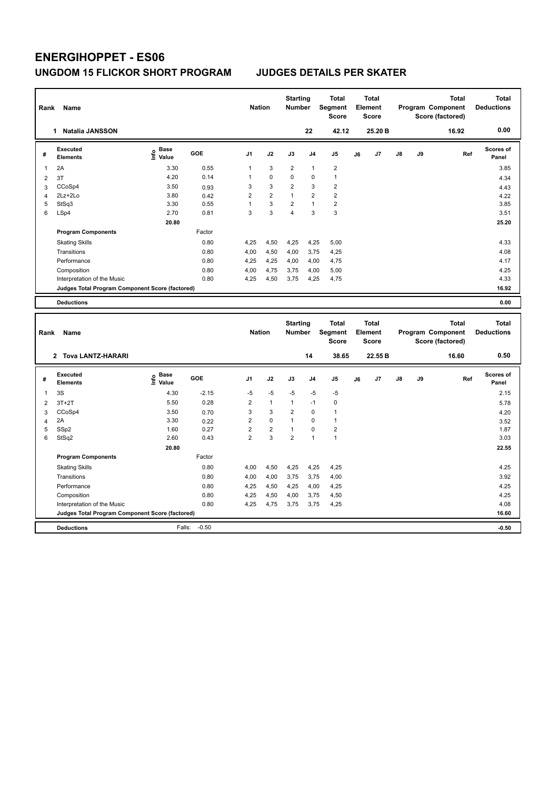| Rank                    | Name                                                                           |                            |                   | <b>Nation</b>          |                      | <b>Starting</b><br>Number        |                | <b>Total</b><br>Segment<br><b>Score</b> |    | <b>Total</b><br>Element<br>Score        |    |    | <b>Total</b><br>Program Component<br>Score (factored) | <b>Total</b><br><b>Deductions</b> |
|-------------------------|--------------------------------------------------------------------------------|----------------------------|-------------------|------------------------|----------------------|----------------------------------|----------------|-----------------------------------------|----|-----------------------------------------|----|----|-------------------------------------------------------|-----------------------------------|
|                         | 1 Natalia JANSSON                                                              |                            |                   |                        |                      |                                  | 22             | 42.12                                   |    | 25.20 B                                 |    |    | 16.92                                                 | 0.00                              |
| #                       | <b>Executed</b><br><b>Elements</b>                                             | e Base<br>⊆ Value          | GOE               | J <sub>1</sub>         | J2                   | J3                               | J <sub>4</sub> | J5                                      | J6 | J7                                      | J8 | J9 | Ref                                                   | <b>Scores of</b><br>Panel         |
| 1                       | 2A                                                                             | 3.30                       | 0.55              | 1                      | 3                    | $\overline{2}$                   | $\mathbf{1}$   | $\overline{2}$                          |    |                                         |    |    |                                                       | 3.85                              |
| $\overline{\mathbf{c}}$ | 3T                                                                             | 4.20                       | 0.14              | 1                      | 0                    | 0                                | $\mathbf 0$    | $\mathbf{1}$                            |    |                                         |    |    |                                                       | 4.34                              |
| 3                       | CCoSp4                                                                         | 3.50                       | 0.93              | 3                      | 3                    | $\overline{2}$                   | 3              | $\overline{2}$                          |    |                                         |    |    |                                                       | 4.43                              |
| $\overline{4}$          | 2Lz+2Lo                                                                        | 3.80                       | 0.42              | $\overline{2}$         | $\overline{2}$       | $\mathbf{1}$                     | $\overline{2}$ | $\overline{2}$                          |    |                                         |    |    |                                                       | 4.22                              |
| 5                       | StSq3                                                                          | 3.30                       | 0.55              | $\mathbf{1}$           | 3                    | $\overline{2}$                   | $\overline{1}$ | $\overline{2}$                          |    |                                         |    |    |                                                       | 3.85                              |
| 6                       | LSp4                                                                           | 2.70                       | 0.81              | 3                      | 3                    | 4                                | 3              | 3                                       |    |                                         |    |    |                                                       | 3.51                              |
|                         |                                                                                | 20.80                      |                   |                        |                      |                                  |                |                                         |    |                                         |    |    |                                                       | 25.20                             |
|                         | <b>Program Components</b>                                                      |                            | Factor            |                        |                      |                                  |                |                                         |    |                                         |    |    |                                                       |                                   |
|                         | <b>Skating Skills</b>                                                          |                            | 0.80              | 4,25                   | 4,50                 | 4,25                             | 4,25           | 5,00                                    |    |                                         |    |    |                                                       | 4.33                              |
|                         | Transitions                                                                    |                            | 0.80              | 4,00                   | 4,50                 | 4,00                             | 3,75           | 4,25                                    |    |                                         |    |    |                                                       | 4.08                              |
|                         | Performance                                                                    |                            | 0.80              | 4,25                   | 4,25                 | 4,00                             | 4,00           | 4,75                                    |    |                                         |    |    |                                                       | 4.17                              |
|                         | Composition                                                                    |                            | 0.80              | 4,00                   | 4,75                 | 3,75                             | 4,00           | 5,00                                    |    |                                         |    |    |                                                       | 4.25                              |
|                         | Interpretation of the Music                                                    |                            | 0.80              | 4,25                   | 4,50                 | 3,75                             | 4,25           | 4,75                                    |    |                                         |    |    |                                                       | 4.33                              |
|                         | Judges Total Program Component Score (factored)                                |                            |                   |                        |                      |                                  |                |                                         |    |                                         |    |    |                                                       | 16.92                             |
|                         | <b>Deductions</b>                                                              |                            |                   |                        |                      |                                  |                |                                         |    |                                         |    |    |                                                       | 0.00                              |
|                         |                                                                                |                            |                   |                        |                      |                                  |                |                                         |    |                                         |    |    |                                                       |                                   |
|                         |                                                                                |                            |                   |                        |                      |                                  |                |                                         |    |                                         |    |    |                                                       |                                   |
| Rank                    | Name                                                                           |                            |                   | <b>Nation</b>          |                      | <b>Starting</b><br><b>Number</b> |                | <b>Total</b><br>Segment<br><b>Score</b> |    | <b>Total</b><br>Element<br><b>Score</b> |    |    | <b>Total</b><br>Program Component<br>Score (factored) | <b>Total</b><br><b>Deductions</b> |
|                         | 2 Tova LANTZ-HARARI                                                            |                            |                   |                        |                      |                                  | 14             | 38.65                                   |    | 22.55 B                                 |    |    | 16.60                                                 | 0.50                              |
| #                       | <b>Executed</b><br><b>Elements</b>                                             | <b>Base</b><br>۴ů<br>Value | GOE               | J <sub>1</sub>         | J2                   | J3                               | J <sub>4</sub> | J5                                      | J6 | J7                                      | J8 | J9 | Ref                                                   | Scores of<br>Panel                |
|                         |                                                                                |                            |                   |                        |                      |                                  |                |                                         |    |                                         |    |    |                                                       |                                   |
| 1                       | 3S                                                                             | 4.30<br>5.50               | $-2.15$<br>0.28   | $-5$<br>$\overline{2}$ | $-5$<br>$\mathbf{1}$ | $-5$<br>1                        | $-5$<br>$-1$   | $-5$<br>$\mathbf 0$                     |    |                                         |    |    |                                                       | 2.15                              |
| $\overline{2}$          | $3T+2T$                                                                        |                            |                   | 3                      | 3                    | 2                                | $\mathbf 0$    | $\mathbf{1}$                            |    |                                         |    |    |                                                       | 5.78                              |
| 3<br>$\overline{4}$     | CCoSp4<br>2A                                                                   | 3.50<br>3.30               | 0.70<br>0.22      | $\overline{c}$         | $\Omega$             | $\mathbf{1}$                     | $\Omega$       | $\mathbf{1}$                            |    |                                         |    |    |                                                       | 4.20                              |
| 5                       | SSp2                                                                           | 1.60                       | 0.27              | $\overline{2}$         | $\overline{c}$       | 1                                | $\mathbf 0$    | $\overline{2}$                          |    |                                         |    |    |                                                       | 3.52<br>1.87                      |
| 6                       | StSq2                                                                          | 2.60                       | 0.43              | $\overline{2}$         | 3                    | $\overline{\mathbf{c}}$          | $\overline{1}$ | $\mathbf{1}$                            |    |                                         |    |    |                                                       | 3.03                              |
|                         |                                                                                | 20.80                      |                   |                        |                      |                                  |                |                                         |    |                                         |    |    |                                                       | 22.55                             |
|                         | <b>Program Components</b>                                                      |                            | Factor            |                        |                      |                                  |                |                                         |    |                                         |    |    |                                                       |                                   |
|                         |                                                                                |                            | 0.80              | 4,00                   | 4,50                 | 4,25                             |                | 4,25                                    |    |                                         |    |    |                                                       | 4.25                              |
|                         | <b>Skating Skills</b><br>Transitions                                           |                            | 0.80              | 4,00                   |                      | 3,75                             | 4,25           |                                         |    |                                         |    |    |                                                       | 3.92                              |
|                         |                                                                                |                            | 0.80              |                        | 4,00                 |                                  | 3,75           | 4,00                                    |    |                                         |    |    |                                                       |                                   |
|                         | Performance                                                                    |                            | 0.80              | 4,25<br>4,25           | 4,50                 | 4,25<br>4,00                     | 4,00           | 4,25                                    |    |                                         |    |    |                                                       | 4.25<br>4.25                      |
|                         | Composition                                                                    |                            | 0.80              | 4,25                   | 4,50                 | 3,75                             | 3,75<br>3,75   | 4,50                                    |    |                                         |    |    |                                                       | 4.08                              |
|                         | Interpretation of the Music<br>Judges Total Program Component Score (factored) |                            |                   |                        | 4,75                 |                                  |                | 4,25                                    |    |                                         |    |    |                                                       | 16.60                             |
|                         | <b>Deductions</b>                                                              |                            | $-0.50$<br>Falls: |                        |                      |                                  |                |                                         |    |                                         |    |    |                                                       | $-0.50$                           |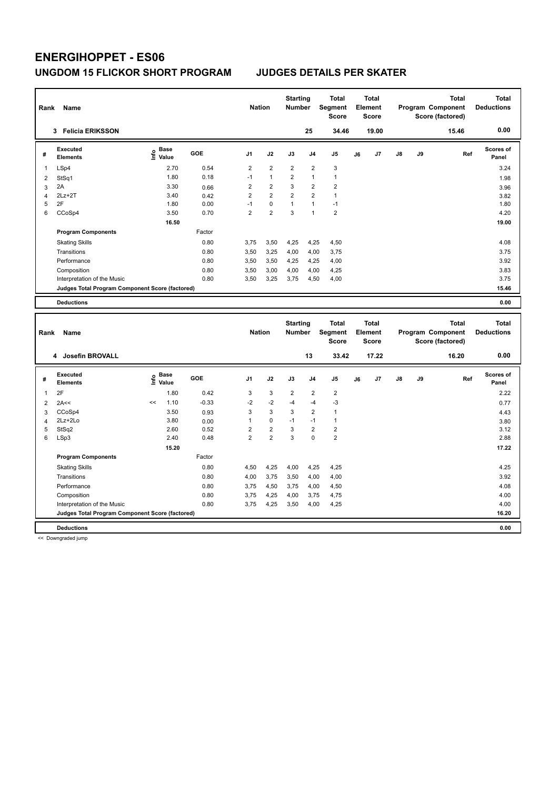| Rank           | Name                                            |                              |         | <b>Nation</b>           |                         | <b>Starting</b><br><b>Number</b> |                | <b>Total</b><br><b>Segment</b><br><b>Score</b> |    | <b>Total</b><br><b>Element</b><br><b>Score</b> |    |    | <b>Total</b><br>Program Component<br>Score (factored) | <b>Total</b><br><b>Deductions</b> |
|----------------|-------------------------------------------------|------------------------------|---------|-------------------------|-------------------------|----------------------------------|----------------|------------------------------------------------|----|------------------------------------------------|----|----|-------------------------------------------------------|-----------------------------------|
|                | 3 Felicia ERIKSSON                              |                              |         |                         |                         |                                  | 25             | 34.46                                          |    | 19.00                                          |    |    | 15.46                                                 | 0.00                              |
| #              | <b>Executed</b><br><b>Elements</b>              | <b>Base</b><br>١nfo<br>Value | GOE     | J <sub>1</sub>          | J2                      | J3                               | J <sub>4</sub> | J5                                             | J6 | J7                                             | J8 | J9 | Ref                                                   | Scores of<br>Panel                |
| 1              | LSp4                                            | 2.70                         | 0.54    | 2                       | $\overline{\mathbf{c}}$ | $\overline{2}$                   | $\overline{2}$ | 3                                              |    |                                                |    |    |                                                       | 3.24                              |
| 2              | StSq1                                           | 1.80                         | 0.18    | $-1$                    | $\mathbf{1}$            | 2                                | $\overline{1}$ | $\mathbf{1}$                                   |    |                                                |    |    |                                                       | 1.98                              |
| 3              | 2A                                              | 3.30                         | 0.66    | $\overline{2}$          | $\overline{\mathbf{c}}$ | 3                                | $\overline{2}$ | $\overline{2}$                                 |    |                                                |    |    |                                                       | 3.96                              |
| $\overline{4}$ | $2Lz+2T$                                        | 3.40                         | 0.42    | $\overline{2}$          | $\overline{2}$          | $\overline{2}$                   | $\overline{2}$ | $\mathbf{1}$                                   |    |                                                |    |    |                                                       | 3.82                              |
| 5              | 2F                                              | 1.80                         | 0.00    | $-1$                    | 0                       | $\mathbf{1}$                     | $\mathbf{1}$   | $-1$                                           |    |                                                |    |    |                                                       | 1.80                              |
| 6              | CCoSp4                                          | 3.50                         | 0.70    | $\overline{2}$          | $\overline{2}$          | 3                                | $\overline{1}$ | $\overline{2}$                                 |    |                                                |    |    |                                                       | 4.20                              |
|                |                                                 | 16.50                        |         |                         |                         |                                  |                |                                                |    |                                                |    |    |                                                       | 19.00                             |
|                | <b>Program Components</b>                       |                              | Factor  |                         |                         |                                  |                |                                                |    |                                                |    |    |                                                       |                                   |
|                | <b>Skating Skills</b>                           |                              | 0.80    | 3,75                    | 3,50                    | 4,25                             | 4,25           | 4,50                                           |    |                                                |    |    |                                                       | 4.08                              |
|                | Transitions                                     |                              | 0.80    | 3,50                    | 3,25                    | 4,00                             | 4,00           | 3,75                                           |    |                                                |    |    |                                                       | 3.75                              |
|                | Performance                                     |                              | 0.80    | 3,50                    | 3,50                    | 4,25                             | 4,25           | 4,00                                           |    |                                                |    |    |                                                       | 3.92                              |
|                | Composition                                     |                              | 0.80    | 3,50                    | 3,00                    | 4,00                             | 4,00           | 4,25                                           |    |                                                |    |    |                                                       | 3.83                              |
|                | Interpretation of the Music                     |                              | 0.80    | 3,50                    | 3,25                    | 3,75                             | 4,50           | 4,00                                           |    |                                                |    |    |                                                       | 3.75                              |
|                | Judges Total Program Component Score (factored) |                              |         |                         |                         |                                  |                |                                                |    |                                                |    |    |                                                       | 15.46                             |
|                | <b>Deductions</b>                               |                              |         |                         |                         |                                  |                |                                                |    |                                                |    |    |                                                       | 0.00                              |
|                |                                                 |                              |         |                         |                         |                                  |                |                                                |    |                                                |    |    |                                                       |                                   |
|                |                                                 |                              |         |                         |                         |                                  |                |                                                |    |                                                |    |    |                                                       |                                   |
|                |                                                 |                              |         |                         |                         | <b>Starting</b>                  |                | <b>Total</b>                                   |    | <b>Total</b>                                   |    |    | <b>Total</b>                                          | <b>Total</b>                      |
| Rank           | Name                                            |                              |         | <b>Nation</b>           |                         | Number                           |                | Segment                                        |    | Element                                        |    |    | Program Component                                     | <b>Deductions</b>                 |
|                |                                                 |                              |         |                         |                         |                                  |                | <b>Score</b>                                   |    | <b>Score</b>                                   |    |    | Score (factored)                                      |                                   |
|                | 4 Josefin BROVALL                               |                              |         |                         |                         |                                  | 13             | 33.42                                          |    | 17.22                                          |    |    | 16.20                                                 | 0.00                              |
|                | <b>Executed</b>                                 | Base                         |         |                         |                         |                                  |                |                                                |    |                                                |    |    |                                                       | Scores of                         |
| #              | <b>Elements</b>                                 | ١nf٥<br>Value                | GOE     | J <sub>1</sub>          | J2                      | J3                               | J <sub>4</sub> | J5                                             | J6 | J7                                             | J8 | J9 | Ref                                                   | Panel                             |
| 1              | 2F                                              | 1.80                         | 0.42    | 3                       | 3                       | $\overline{2}$                   | $\overline{2}$ | $\overline{2}$                                 |    |                                                |    |    |                                                       | 2.22                              |
| $\overline{2}$ | 2A<<                                            | 1.10<br><<                   | $-0.33$ | $-2$                    | $-2$                    | $-4$                             | $-4$           | $-3$                                           |    |                                                |    |    |                                                       | 0.77                              |
| 3              | CCoSp4                                          | 3.50                         | 0.93    | 3                       | 3                       | 3                                | $\overline{2}$ | $\mathbf{1}$                                   |    |                                                |    |    |                                                       | 4.43                              |
| $\overline{4}$ | 2Lz+2Lo                                         | 3.80                         | 0.00    | 1                       | 0                       | $-1$                             | $-1$           | $\overline{1}$                                 |    |                                                |    |    |                                                       | 3.80                              |
| 5              | StSq2                                           | 2.60                         | 0.52    | $\overline{\mathbf{c}}$ | $\overline{\mathbf{c}}$ | 3                                | $\overline{2}$ | $\mathbf 2$                                    |    |                                                |    |    |                                                       | 3.12                              |
| 6              | LSp3                                            | 2.40                         | 0.48    | $\overline{2}$          | $\overline{2}$          | 3                                | $\mathbf 0$    | $\overline{2}$                                 |    |                                                |    |    |                                                       | 2.88                              |
|                |                                                 | 15.20                        |         |                         |                         |                                  |                |                                                |    |                                                |    |    |                                                       | 17.22                             |
|                | <b>Program Components</b>                       |                              | Factor  |                         |                         |                                  |                |                                                |    |                                                |    |    |                                                       |                                   |
|                | <b>Skating Skills</b>                           |                              | 0.80    | 4,50                    | 4,25                    | 4,00                             | 4,25           | 4,25                                           |    |                                                |    |    |                                                       | 4.25                              |
|                | Transitions                                     |                              | 0.80    | 4,00                    | 3,75                    | 3,50                             | 4,00           | 4,00                                           |    |                                                |    |    |                                                       | 3.92                              |
|                | Performance                                     |                              | 0.80    | 3,75                    | 4,50                    | 3,75                             | 4,00           | 4,50                                           |    |                                                |    |    |                                                       | 4.08                              |
|                | Composition                                     |                              | 0.80    | 3,75                    | 4,25                    | 4,00                             | 3,75           | 4,75                                           |    |                                                |    |    |                                                       | 4.00                              |
|                | Interpretation of the Music                     |                              | 0.80    | 3,75                    | 4,25                    | 3,50                             | 4,00           | 4,25                                           |    |                                                |    |    |                                                       | 4.00                              |
|                | Judges Total Program Component Score (factored) |                              |         |                         |                         |                                  |                |                                                |    |                                                |    |    |                                                       | 16.20                             |

<< Downgraded jump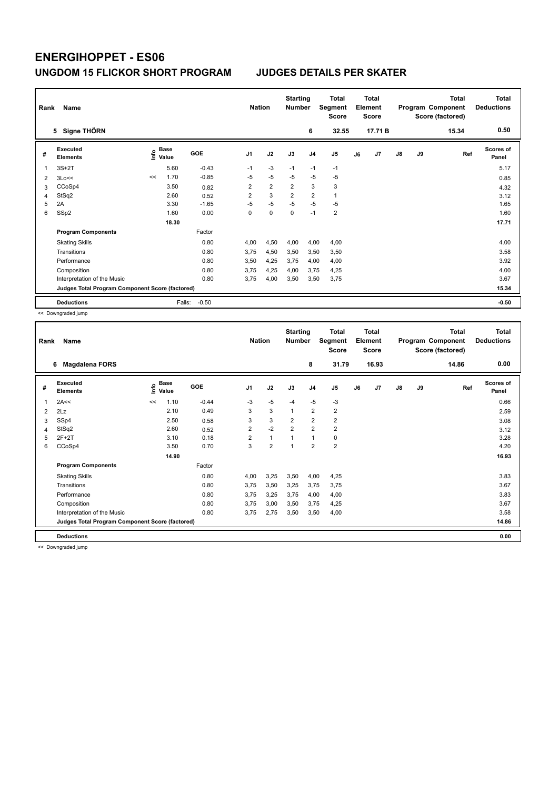|                | Rank<br>Name<br>Signe THÖRN<br>5                |      |                      |            |                |                | <b>Starting</b><br><b>Number</b> |                | Total<br>Segment<br><b>Score</b> |    | <b>Total</b><br>Element<br><b>Score</b> |               |           | <b>Total</b><br>Program Component<br>Score (factored) | <b>Total</b><br><b>Deductions</b> |
|----------------|-------------------------------------------------|------|----------------------|------------|----------------|----------------|----------------------------------|----------------|----------------------------------|----|-----------------------------------------|---------------|-----------|-------------------------------------------------------|-----------------------------------|
|                |                                                 |      |                      |            |                |                |                                  | 6              | 32.55                            |    | 17.71 B                                 |               |           | 15.34                                                 | 0.50                              |
| #              | Executed<br><b>Elements</b>                     | ١nf٥ | <b>Base</b><br>Value | <b>GOE</b> | J <sub>1</sub> | J2             | J3                               | J <sub>4</sub> | J5                               | J6 | J7                                      | $\mathsf{J}8$ | <b>J9</b> | Ref                                                   | Scores of<br>Panel                |
|                | $3S+2T$                                         |      | 5.60                 | $-0.43$    | $-1$           | $-3$           | $-1$                             | $-1$           | $-1$                             |    |                                         |               |           |                                                       | 5.17                              |
| $\overline{2}$ | 3Lo<<                                           | <<   | 1.70                 | $-0.85$    | $-5$           | $-5$           | $-5$                             | $-5$           | $-5$                             |    |                                         |               |           |                                                       | 0.85                              |
| 3              | CCoSp4                                          |      | 3.50                 | 0.82       | $\overline{2}$ | $\overline{2}$ | $\overline{2}$                   | 3              | 3                                |    |                                         |               |           |                                                       | 4.32                              |
| 4              | StSq2                                           |      | 2.60                 | 0.52       | 2              | 3              | $\overline{2}$                   | $\overline{2}$ | 1                                |    |                                         |               |           |                                                       | 3.12                              |
| 5              | 2A                                              |      | 3.30                 | $-1.65$    | $-5$           | $-5$           | $-5$                             | $-5$           | $-5$                             |    |                                         |               |           |                                                       | 1.65                              |
| 6              | SSp2                                            |      | 1.60                 | 0.00       | 0              | 0              | $\mathbf 0$                      | $-1$           | $\overline{2}$                   |    |                                         |               |           |                                                       | 1.60                              |
|                |                                                 |      | 18.30                |            |                |                |                                  |                |                                  |    |                                         |               |           |                                                       | 17.71                             |
|                | <b>Program Components</b>                       |      |                      | Factor     |                |                |                                  |                |                                  |    |                                         |               |           |                                                       |                                   |
|                | <b>Skating Skills</b>                           |      |                      | 0.80       | 4,00           | 4,50           | 4,00                             | 4,00           | 4,00                             |    |                                         |               |           |                                                       | 4.00                              |
|                | Transitions                                     |      |                      | 0.80       | 3,75           | 4,50           | 3,50                             | 3,50           | 3,50                             |    |                                         |               |           |                                                       | 3.58                              |
|                | Performance                                     |      |                      | 0.80       | 3,50           | 4,25           | 3,75                             | 4,00           | 4,00                             |    |                                         |               |           |                                                       | 3.92                              |
|                | Composition                                     |      |                      | 0.80       | 3.75           | 4,25           | 4.00                             | 3.75           | 4,25                             |    |                                         |               |           |                                                       | 4.00                              |
|                | Interpretation of the Music                     |      |                      | 0.80       | 3,75           | 4,00           | 3,50                             | 3,50           | 3,75                             |    |                                         |               |           |                                                       | 3.67                              |
|                | Judges Total Program Component Score (factored) |      |                      |            |                |                |                                  |                |                                  |    |                                         |               |           |                                                       | 15.34                             |
|                | <b>Deductions</b>                               |      | Falls:               | $-0.50$    |                |                |                                  |                |                                  |    |                                         |               |           |                                                       | $-0.50$                           |

<< Downgraded jump

| Rank | Name                                            | <b>Nation</b> |                      | <b>Starting</b><br><b>Number</b> |                | <b>Total</b><br>Segment<br>Score |                | <b>Total</b><br>Element<br><b>Score</b> |                         |    | <b>Total</b><br>Program Component<br>Score (factored) | Total<br><b>Deductions</b> |    |       |                           |
|------|-------------------------------------------------|---------------|----------------------|----------------------------------|----------------|----------------------------------|----------------|-----------------------------------------|-------------------------|----|-------------------------------------------------------|----------------------------|----|-------|---------------------------|
|      | 6<br><b>Magdalena FORS</b>                      |               |                      |                                  |                |                                  |                | 8                                       | 31.79                   |    | 16.93                                                 |                            |    | 14.86 | 0.00                      |
| #    | Executed<br><b>Elements</b>                     | lnfo          | <b>Base</b><br>Value | GOE                              | J <sub>1</sub> | J2                               | J3             | J <sub>4</sub>                          | J5                      | J6 | J7                                                    | $\mathsf{J}8$              | J9 | Ref   | <b>Scores of</b><br>Panel |
| 1    | 2A<<                                            | <<            | 1.10                 | $-0.44$                          | $-3$           | $-5$                             | $-4$           | $-5$                                    | $-3$                    |    |                                                       |                            |    |       | 0.66                      |
| 2    | 2Lz                                             |               | 2.10                 | 0.49                             | 3              | 3                                | $\mathbf{1}$   | $\overline{\mathbf{c}}$                 | $\overline{\mathbf{c}}$ |    |                                                       |                            |    |       | 2.59                      |
| 3    | SSp4                                            |               | 2.50                 | 0.58                             | 3              | 3                                | 2              | $\overline{\mathbf{c}}$                 | $\overline{\mathbf{c}}$ |    |                                                       |                            |    |       | 3.08                      |
| 4    | StSq2                                           |               | 2.60                 | 0.52                             | $\overline{2}$ | $-2$                             | $\overline{2}$ | $\overline{2}$                          | $\overline{\mathbf{c}}$ |    |                                                       |                            |    |       | 3.12                      |
| 5    | $2F+2T$                                         |               | 3.10                 | 0.18                             | $\overline{2}$ | 1                                | $\mathbf{1}$   | $\mathbf{1}$                            | 0                       |    |                                                       |                            |    |       | 3.28                      |
| 6    | CCoSp4                                          |               | 3.50                 | 0.70                             | 3              | $\overline{2}$                   | 1              | $\overline{2}$                          | $\overline{\mathbf{c}}$ |    |                                                       |                            |    |       | 4.20                      |
|      |                                                 |               | 14.90                |                                  |                |                                  |                |                                         |                         |    |                                                       |                            |    |       | 16.93                     |
|      | <b>Program Components</b>                       |               |                      | Factor                           |                |                                  |                |                                         |                         |    |                                                       |                            |    |       |                           |
|      | <b>Skating Skills</b>                           |               |                      | 0.80                             | 4,00           | 3,25                             | 3,50           | 4,00                                    | 4,25                    |    |                                                       |                            |    |       | 3.83                      |
|      | Transitions                                     |               |                      | 0.80                             | 3.75           | 3,50                             | 3,25           | 3,75                                    | 3,75                    |    |                                                       |                            |    |       | 3.67                      |
|      | Performance                                     |               |                      | 0.80                             | 3,75           | 3,25                             | 3.75           | 4,00                                    | 4,00                    |    |                                                       |                            |    |       | 3.83                      |
|      | Composition                                     |               |                      | 0.80                             | 3,75           | 3,00                             | 3,50           | 3,75                                    | 4,25                    |    |                                                       |                            |    |       | 3.67                      |
|      | Interpretation of the Music                     |               |                      | 0.80                             | 3.75           | 2,75                             | 3,50           | 3,50                                    | 4,00                    |    |                                                       |                            |    |       | 3.58                      |
|      | Judges Total Program Component Score (factored) |               |                      |                                  |                |                                  |                |                                         |                         |    |                                                       |                            |    |       | 14.86                     |
|      | <b>Deductions</b>                               |               |                      |                                  |                |                                  |                |                                         |                         |    |                                                       |                            |    |       | 0.00                      |

<< Downgraded jump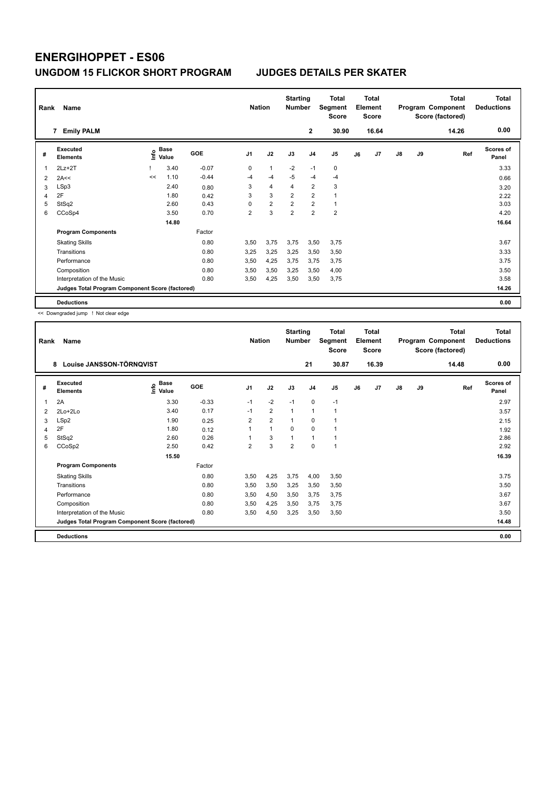| Rank | Name                                            | <b>Nation</b> |               | <b>Starting</b><br><b>Number</b> |                | Total<br>Segment<br><b>Score</b> |                | <b>Total</b><br>Element<br><b>Score</b> |                |    | <b>Total</b><br>Program Component<br>Score (factored) | <b>Total</b><br><b>Deductions</b> |    |       |                           |
|------|-------------------------------------------------|---------------|---------------|----------------------------------|----------------|----------------------------------|----------------|-----------------------------------------|----------------|----|-------------------------------------------------------|-----------------------------------|----|-------|---------------------------|
|      | <b>Emily PALM</b><br>7                          |               |               |                                  |                |                                  |                | $\mathbf{2}$                            | 30.90          |    | 16.64                                                 |                                   |    | 14.26 | 0.00                      |
| #    | Executed<br><b>Elements</b>                     | ١nf٥          | Base<br>Value | GOE                              | J <sub>1</sub> | J2                               | J3             | J <sub>4</sub>                          | J <sub>5</sub> | J6 | J7                                                    | $\mathsf{J}8$                     | J9 | Ref   | <b>Scores of</b><br>Panel |
| 1    | $2Lz+2T$                                        |               | 3.40          | $-0.07$                          | 0              | $\overline{1}$                   | $-2$           | $-1$                                    | 0              |    |                                                       |                                   |    |       | 3.33                      |
| 2    | 2A<<                                            | <<            | 1.10          | $-0.44$                          | $-4$           | $-4$                             | $-5$           | $-4$                                    | $-4$           |    |                                                       |                                   |    |       | 0.66                      |
| 3    | LSp3                                            |               | 2.40          | 0.80                             | 3              | $\overline{4}$                   | 4              | $\overline{2}$                          | 3              |    |                                                       |                                   |    |       | 3.20                      |
| 4    | 2F                                              |               | 1.80          | 0.42                             | 3              | 3                                | $\overline{2}$ | $\overline{2}$                          | $\mathbf{1}$   |    |                                                       |                                   |    |       | 2.22                      |
| 5    | StSq2                                           |               | 2.60          | 0.43                             | 0              | $\overline{2}$                   | $\overline{2}$ | $\overline{2}$                          | $\mathbf{1}$   |    |                                                       |                                   |    |       | 3.03                      |
| 6    | CCoSp4                                          |               | 3.50          | 0.70                             | $\overline{2}$ | 3                                | $\overline{2}$ | $\overline{2}$                          | $\overline{2}$ |    |                                                       |                                   |    |       | 4.20                      |
|      |                                                 |               | 14.80         |                                  |                |                                  |                |                                         |                |    |                                                       |                                   |    |       | 16.64                     |
|      | <b>Program Components</b>                       |               |               | Factor                           |                |                                  |                |                                         |                |    |                                                       |                                   |    |       |                           |
|      | <b>Skating Skills</b>                           |               |               | 0.80                             | 3,50           | 3,75                             | 3,75           | 3,50                                    | 3,75           |    |                                                       |                                   |    |       | 3.67                      |
|      | Transitions                                     |               |               | 0.80                             | 3.25           | 3,25                             | 3.25           | 3,50                                    | 3,50           |    |                                                       |                                   |    |       | 3.33                      |
|      | Performance                                     |               |               | 0.80                             | 3,50           | 4,25                             | 3.75           | 3,75                                    | 3,75           |    |                                                       |                                   |    |       | 3.75                      |
|      | Composition                                     |               |               | 0.80                             | 3,50           | 3,50                             | 3,25           | 3,50                                    | 4,00           |    |                                                       |                                   |    |       | 3.50                      |
|      | Interpretation of the Music                     |               |               | 0.80                             | 3,50           | 4,25                             | 3,50           | 3,50                                    | 3,75           |    |                                                       |                                   |    |       | 3.58                      |
|      | Judges Total Program Component Score (factored) |               |               |                                  |                |                                  |                |                                         |                |    |                                                       |                                   |    |       | 14.26                     |
|      | <b>Deductions</b>                               |               |               |                                  |                |                                  |                |                                         |                |    |                                                       |                                   |    |       | 0.00                      |

<< Downgraded jump ! Not clear edge

| Rank | Name<br>Louise JANSSON-TÖRNQVIST<br>8           |                       |         |                | <b>Nation</b>  | <b>Starting</b><br><b>Number</b> |                | Total<br>Segment<br><b>Score</b> |    | <b>Total</b><br>Element<br><b>Score</b> |    |    | <b>Total</b><br>Program Component<br>Score (factored) | <b>Total</b><br><b>Deductions</b> |
|------|-------------------------------------------------|-----------------------|---------|----------------|----------------|----------------------------------|----------------|----------------------------------|----|-----------------------------------------|----|----|-------------------------------------------------------|-----------------------------------|
|      |                                                 |                       |         |                |                |                                  | 21             | 30.87                            |    | 16.39                                   |    |    | 14.48                                                 | 0.00                              |
| #    | Executed<br><b>Elements</b>                     | Base<br>١nf٥<br>Value | GOE     | J <sub>1</sub> | J2             | J3                               | J <sub>4</sub> | J <sub>5</sub>                   | J6 | J7                                      | J8 | J9 | Ref                                                   | <b>Scores of</b><br>Panel         |
| 1    | 2A                                              | 3.30                  | $-0.33$ | $-1$           | $-2$           | $-1$                             | $\mathbf 0$    | $-1$                             |    |                                         |    |    |                                                       | 2.97                              |
| 2    | 2Lo+2Lo                                         | 3.40                  | 0.17    | $-1$           | $\overline{2}$ | $\mathbf{1}$                     | $\mathbf{1}$   | $\mathbf{1}$                     |    |                                         |    |    |                                                       | 3.57                              |
| 3    | LSp2                                            | 1.90                  | 0.25    | $\overline{2}$ | $\overline{2}$ | $\mathbf{1}$                     | 0              | 1                                |    |                                         |    |    |                                                       | 2.15                              |
| 4    | 2F                                              | 1.80                  | 0.12    | 1              | $\mathbf{1}$   | $\mathbf 0$                      | $\mathbf 0$    | 1                                |    |                                         |    |    |                                                       | 1.92                              |
| 5    | StSq2                                           | 2.60                  | 0.26    | 1              | 3              | $\mathbf{1}$                     | $\mathbf{1}$   | $\mathbf{1}$                     |    |                                         |    |    |                                                       | 2.86                              |
| 6    | CCoSp2                                          | 2.50                  | 0.42    | 2              | 3              | $\overline{2}$                   | $\mathbf 0$    | $\mathbf{1}$                     |    |                                         |    |    |                                                       | 2.92                              |
|      |                                                 | 15.50                 |         |                |                |                                  |                |                                  |    |                                         |    |    |                                                       | 16.39                             |
|      | <b>Program Components</b>                       |                       | Factor  |                |                |                                  |                |                                  |    |                                         |    |    |                                                       |                                   |
|      | <b>Skating Skills</b>                           |                       | 0.80    | 3,50           | 4,25           | 3,75                             | 4,00           | 3,50                             |    |                                         |    |    |                                                       | 3.75                              |
|      | Transitions                                     |                       | 0.80    | 3,50           | 3,50           | 3,25                             | 3,50           | 3,50                             |    |                                         |    |    |                                                       | 3.50                              |
|      | Performance                                     |                       | 0.80    | 3,50           | 4,50           | 3,50                             | 3,75           | 3,75                             |    |                                         |    |    |                                                       | 3.67                              |
|      | Composition                                     |                       | 0.80    | 3,50           | 4,25           | 3,50                             | 3,75           | 3,75                             |    |                                         |    |    |                                                       | 3.67                              |
|      | Interpretation of the Music                     |                       | 0.80    | 3,50           | 4,50           | 3,25                             | 3,50           | 3,50                             |    |                                         |    |    |                                                       | 3.50                              |
|      | Judges Total Program Component Score (factored) |                       |         |                |                |                                  |                |                                  |    |                                         |    |    |                                                       | 14.48                             |
|      | <b>Deductions</b>                               |                       |         |                |                |                                  |                |                                  |    |                                         |    |    |                                                       | 0.00                              |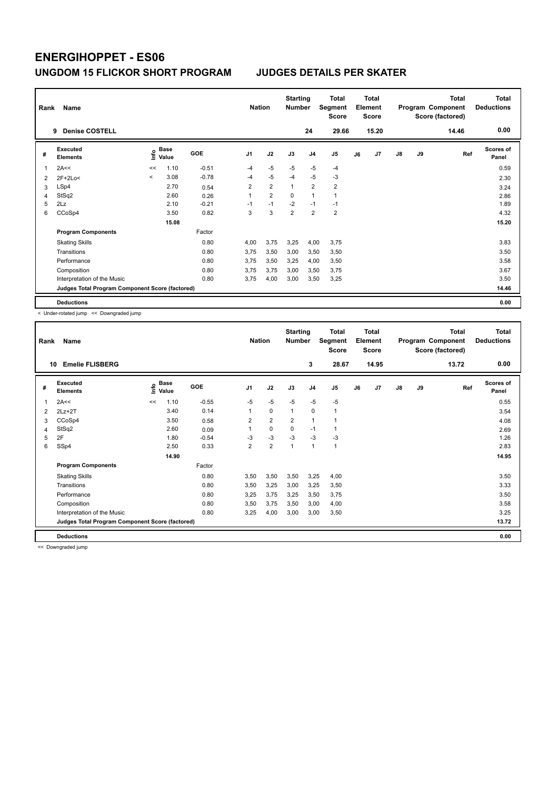|   | Rank<br>Name<br><b>Denise COSTELL</b><br>9      |         |                      |         |                |                | <b>Starting</b><br><b>Number</b> |                | Total<br>Segment<br><b>Score</b> |    | <b>Total</b><br>Element<br><b>Score</b> |               |    | <b>Total</b><br>Program Component<br>Score (factored) | <b>Total</b><br><b>Deductions</b> |
|---|-------------------------------------------------|---------|----------------------|---------|----------------|----------------|----------------------------------|----------------|----------------------------------|----|-----------------------------------------|---------------|----|-------------------------------------------------------|-----------------------------------|
|   |                                                 |         |                      |         |                |                |                                  | 24             | 29.66                            |    | 15.20                                   |               |    | 14.46                                                 | 0.00                              |
| # | <b>Executed</b><br><b>Elements</b>              | ١nf٥    | <b>Base</b><br>Value | GOE     | J <sub>1</sub> | J2             | J3                               | J <sub>4</sub> | J5                               | J6 | J7                                      | $\mathsf{J}8$ | J9 | Ref                                                   | <b>Scores of</b><br>Panel         |
| 1 | 2A<<                                            | <<      | 1.10                 | $-0.51$ | $-4$           | $-5$           | $-5$                             | $-5$           | $-4$                             |    |                                         |               |    |                                                       | 0.59                              |
| 2 | $2F+2Lo<$                                       | $\prec$ | 3.08                 | $-0.78$ | $-4$           | $-5$           | $-4$                             | $-5$           | $-3$                             |    |                                         |               |    |                                                       | 2.30                              |
| 3 | LSp4                                            |         | 2.70                 | 0.54    | $\overline{2}$ | $\overline{2}$ | $\mathbf{1}$                     | $\overline{2}$ | $\overline{2}$                   |    |                                         |               |    |                                                       | 3.24                              |
| 4 | StSq2                                           |         | 2.60                 | 0.26    | 1              | $\overline{2}$ | $\mathbf 0$                      | 1              | 1                                |    |                                         |               |    |                                                       | 2.86                              |
| 5 | 2Lz                                             |         | 2.10                 | $-0.21$ | $-1$           | $-1$           | $-2$                             | $-1$           | $-1$                             |    |                                         |               |    |                                                       | 1.89                              |
| 6 | CCoSp4                                          |         | 3.50                 | 0.82    | 3              | 3              | $\overline{2}$                   | 2              | $\overline{2}$                   |    |                                         |               |    |                                                       | 4.32                              |
|   |                                                 |         | 15.08                |         |                |                |                                  |                |                                  |    |                                         |               |    |                                                       | 15.20                             |
|   | <b>Program Components</b>                       |         |                      | Factor  |                |                |                                  |                |                                  |    |                                         |               |    |                                                       |                                   |
|   | <b>Skating Skills</b>                           |         |                      | 0.80    | 4.00           | 3,75           | 3,25                             | 4,00           | 3,75                             |    |                                         |               |    |                                                       | 3.83                              |
|   | Transitions                                     |         |                      | 0.80    | 3.75           | 3,50           | 3,00                             | 3,50           | 3,50                             |    |                                         |               |    |                                                       | 3.50                              |
|   | Performance                                     |         |                      | 0.80    | 3.75           | 3,50           | 3,25                             | 4,00           | 3,50                             |    |                                         |               |    |                                                       | 3.58                              |
|   | Composition                                     |         |                      | 0.80    | 3.75           | 3,75           | 3,00                             | 3,50           | 3,75                             |    |                                         |               |    |                                                       | 3.67                              |
|   | Interpretation of the Music                     |         |                      | 0.80    | 3.75           | 4,00           | 3,00                             | 3,50           | 3,25                             |    |                                         |               |    |                                                       | 3.50                              |
|   | Judges Total Program Component Score (factored) |         |                      |         |                |                |                                  |                |                                  |    |                                         |               |    |                                                       | 14.46                             |
|   | <b>Deductions</b>                               |         |                      |         |                |                |                                  |                |                                  |    |                                         |               |    |                                                       | 0.00                              |

< Under-rotated jump << Downgraded jump

| Rank           | Name                                            | <b>Nation</b> |                      | <b>Starting</b><br><b>Number</b> |                | <b>Total</b><br>Segment<br><b>Score</b> |                | <b>Total</b><br>Element<br><b>Score</b> |              |    | <b>Total</b><br>Program Component<br>Score (factored) | <b>Total</b><br><b>Deductions</b> |    |       |                           |
|----------------|-------------------------------------------------|---------------|----------------------|----------------------------------|----------------|-----------------------------------------|----------------|-----------------------------------------|--------------|----|-------------------------------------------------------|-----------------------------------|----|-------|---------------------------|
| 10             | <b>Emelie FLISBERG</b>                          |               |                      |                                  |                |                                         |                | 3                                       | 28.67        |    | 14.95                                                 |                                   |    | 13.72 | 0.00                      |
| #              | Executed<br><b>Elements</b>                     | ١nf٥          | <b>Base</b><br>Value | GOE                              | J <sub>1</sub> | J2                                      | J3             | J <sub>4</sub>                          | J5           | J6 | J <sub>7</sub>                                        | $\mathsf{J}8$                     | J9 | Ref   | <b>Scores of</b><br>Panel |
| 1              | 2A<<                                            | <<            | 1.10                 | $-0.55$                          | $-5$           | $-5$                                    | $-5$           | $-5$                                    | $-5$         |    |                                                       |                                   |    |       | 0.55                      |
| $\overline{2}$ | $2Lz+2T$                                        |               | 3.40                 | 0.14                             | 1              | 0                                       | 1              | $\mathbf 0$                             | 1            |    |                                                       |                                   |    |       | 3.54                      |
| 3              | CCoSp4                                          |               | 3.50                 | 0.58                             | 2              | $\overline{2}$                          | $\overline{2}$ | $\mathbf{1}$                            | 1            |    |                                                       |                                   |    |       | 4.08                      |
| 4              | StSq2                                           |               | 2.60                 | 0.09                             |                | 0                                       | $\Omega$       | $-1$                                    | 1            |    |                                                       |                                   |    |       | 2.69                      |
| 5              | 2F                                              |               | 1.80                 | $-0.54$                          | $-3$           | $-3$                                    | $-3$           | $-3$                                    | $-3$         |    |                                                       |                                   |    |       | 1.26                      |
| 6              | SSp4                                            |               | 2.50                 | 0.33                             | $\overline{2}$ | $\overline{2}$                          | 1              | $\mathbf{1}$                            | $\mathbf{1}$ |    |                                                       |                                   |    |       | 2.83                      |
|                |                                                 |               | 14.90                |                                  |                |                                         |                |                                         |              |    |                                                       |                                   |    |       | 14.95                     |
|                | <b>Program Components</b>                       |               |                      | Factor                           |                |                                         |                |                                         |              |    |                                                       |                                   |    |       |                           |
|                | <b>Skating Skills</b>                           |               |                      | 0.80                             | 3.50           | 3,50                                    | 3,50           | 3,25                                    | 4.00         |    |                                                       |                                   |    |       | 3.50                      |
|                | Transitions                                     |               |                      | 0.80                             | 3,50           | 3,25                                    | 3,00           | 3,25                                    | 3,50         |    |                                                       |                                   |    |       | 3.33                      |
|                | Performance                                     |               |                      | 0.80                             | 3.25           | 3.75                                    | 3.25           | 3.50                                    | 3.75         |    |                                                       |                                   |    |       | 3.50                      |
|                | Composition                                     |               |                      | 0.80                             | 3,50           | 3,75                                    | 3,50           | 3,00                                    | 4,00         |    |                                                       |                                   |    |       | 3.58                      |
|                | Interpretation of the Music                     |               |                      | 0.80                             | 3,25           | 4,00                                    | 3,00           | 3,00                                    | 3,50         |    |                                                       |                                   |    |       | 3.25                      |
|                | Judges Total Program Component Score (factored) |               |                      |                                  |                |                                         |                |                                         |              |    |                                                       |                                   |    |       | 13.72                     |
|                | <b>Deductions</b>                               |               |                      |                                  |                |                                         |                |                                         |              |    |                                                       |                                   |    |       | 0.00                      |

<< Downgraded jump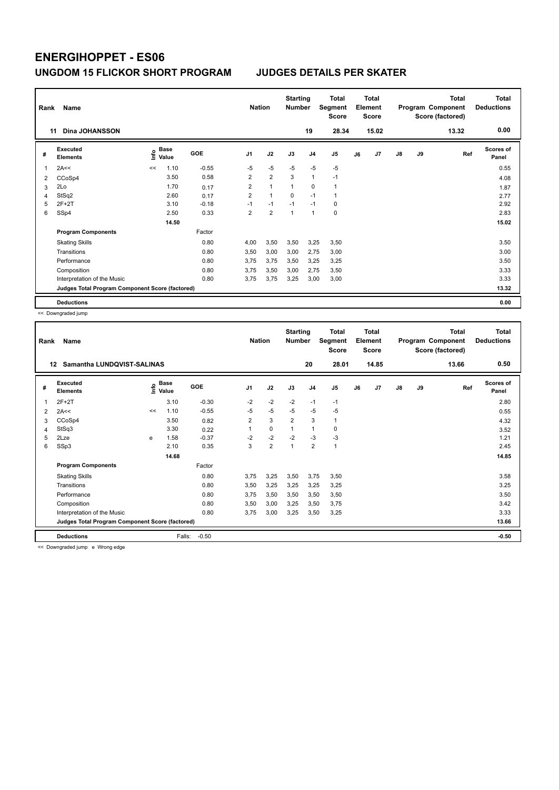| Rank | Name                                            | <b>Nation</b> |                      | <b>Starting</b><br><b>Number</b> |                | <b>Total</b><br>Segment<br><b>Score</b> |                | <b>Total</b><br>Element<br><b>Score</b> |             |    | Total<br>Program Component<br>Score (factored) | Total<br><b>Deductions</b> |    |       |                           |
|------|-------------------------------------------------|---------------|----------------------|----------------------------------|----------------|-----------------------------------------|----------------|-----------------------------------------|-------------|----|------------------------------------------------|----------------------------|----|-------|---------------------------|
|      | Dina JOHANSSON<br>11                            |               |                      |                                  |                |                                         |                | 19                                      | 28.34       |    | 15.02                                          |                            |    | 13.32 | 0.00                      |
| #    | <b>Executed</b><br><b>Elements</b>              | ١nf٥          | <b>Base</b><br>Value | <b>GOE</b>                       | J <sub>1</sub> | J2                                      | J3             | J <sub>4</sub>                          | J5          | J6 | J7                                             | $\mathsf{J}8$              | J9 | Ref   | <b>Scores of</b><br>Panel |
|      | 2A<<                                            | <<            | 1.10                 | $-0.55$                          | $-5$           | $-5$                                    | $-5$           | $-5$                                    | $-5$        |    |                                                |                            |    |       | 0.55                      |
| 2    | CCoSp4                                          |               | 3.50                 | 0.58                             | $\overline{2}$ | $\overline{2}$                          | 3              | 1                                       | $-1$        |    |                                                |                            |    |       | 4.08                      |
| 3    | 2Lo                                             |               | 1.70                 | 0.17                             | $\overline{2}$ | $\mathbf{1}$                            | $\overline{1}$ | $\Omega$                                | 1           |    |                                                |                            |    |       | 1.87                      |
| 4    | StSq2                                           |               | 2.60                 | 0.17                             | $\overline{2}$ | $\mathbf{1}$                            | $\Omega$       | $-1$                                    | 1           |    |                                                |                            |    |       | 2.77                      |
| 5    | $2F+2T$                                         |               | 3.10                 | $-0.18$                          | $-1$           | $-1$                                    | $-1$           | $-1$                                    | 0           |    |                                                |                            |    |       | 2.92                      |
| 6    | SSp4                                            |               | 2.50                 | 0.33                             | $\overline{2}$ | $\overline{2}$                          | $\overline{1}$ | 1                                       | $\mathbf 0$ |    |                                                |                            |    |       | 2.83                      |
|      |                                                 |               | 14.50                |                                  |                |                                         |                |                                         |             |    |                                                |                            |    |       | 15.02                     |
|      | <b>Program Components</b>                       |               |                      | Factor                           |                |                                         |                |                                         |             |    |                                                |                            |    |       |                           |
|      | <b>Skating Skills</b>                           |               |                      | 0.80                             | 4,00           | 3,50                                    | 3,50           | 3,25                                    | 3,50        |    |                                                |                            |    |       | 3.50                      |
|      | Transitions                                     |               |                      | 0.80                             | 3,50           | 3,00                                    | 3,00           | 2,75                                    | 3,00        |    |                                                |                            |    |       | 3.00                      |
|      | Performance                                     |               |                      | 0.80                             | 3.75           | 3,75                                    | 3,50           | 3,25                                    | 3,25        |    |                                                |                            |    |       | 3.50                      |
|      | Composition                                     |               |                      | 0.80                             | 3.75           | 3,50                                    | 3,00           | 2,75                                    | 3,50        |    |                                                |                            |    |       | 3.33                      |
|      | Interpretation of the Music                     |               |                      | 0.80                             | 3,75           | 3,75                                    | 3,25           | 3,00                                    | 3,00        |    |                                                |                            |    |       | 3.33                      |
|      | Judges Total Program Component Score (factored) |               |                      |                                  |                |                                         |                |                                         |             |    |                                                |                            |    |       | 13.32                     |
|      | <b>Deductions</b>                               |               |                      |                                  |                |                                         |                |                                         |             |    |                                                |                            |    |       | 0.00                      |

<< Downgraded jump

| Rank           | Name                                                                  | <b>Nation</b> |                      | <b>Starting</b><br><b>Number</b> |                         | <b>Total</b><br>Segment<br><b>Score</b> |                | Total<br>Element<br><b>Score</b> |                |    | <b>Total</b><br>Program Component<br>Score (factored) | <b>Total</b><br><b>Deductions</b> |       |       |                           |
|----------------|-----------------------------------------------------------------------|---------------|----------------------|----------------------------------|-------------------------|-----------------------------------------|----------------|----------------------------------|----------------|----|-------------------------------------------------------|-----------------------------------|-------|-------|---------------------------|
| 12             | Samantha LUNDOVIST-SALINAS                                            |               |                      |                                  |                         |                                         |                | 20                               | 28.01          |    | 14.85                                                 |                                   |       | 13.66 | 0.50                      |
| #              | Executed<br><b>Elements</b>                                           | ١nf٥          | <b>Base</b><br>Value | <b>GOE</b>                       | J <sub>1</sub>          | J2                                      | J3             | J <sub>4</sub>                   | J <sub>5</sub> | J6 | J7                                                    | J8                                | J9    | Ref   | <b>Scores of</b><br>Panel |
| 1              | $2F+2T$                                                               |               | 3.10                 | $-0.30$                          | $-2$                    | $-2$                                    | $-2$           | $-1$                             | $-1$           |    |                                                       |                                   |       |       | 2.80                      |
| $\overline{2}$ | 2A<<                                                                  | <<            | 1.10                 | $-0.55$                          | $-5$                    | $-5$                                    | $-5$           | $-5$                             | $-5$           |    |                                                       |                                   |       |       | 0.55                      |
| 3              | CCoSp4                                                                |               | 3.50                 | 0.82                             | $\overline{\mathbf{c}}$ | 3                                       | $\overline{2}$ | 3                                | 1              |    |                                                       |                                   |       |       | 4.32                      |
| 4              | StSq3                                                                 |               | 3.30                 | 0.22                             |                         | $\Omega$                                | 1              | 1                                | 0              |    |                                                       |                                   |       |       | 3.52                      |
| 5              | 2Lze                                                                  | e             | 1.58                 | $-0.37$                          | $-2$                    | $-2$                                    | $-2$           | $-3$                             | $-3$           |    |                                                       |                                   |       |       | 1.21                      |
| 6              | SSp3                                                                  |               | 2.10                 | 0.35                             | 3                       | $\overline{2}$                          | 1              | $\overline{2}$                   | 1              |    |                                                       |                                   |       |       | 2.45                      |
|                |                                                                       |               | 14.68                |                                  |                         |                                         |                |                                  |                |    |                                                       |                                   |       |       | 14.85                     |
|                | <b>Program Components</b>                                             |               |                      | Factor                           |                         |                                         |                |                                  |                |    |                                                       |                                   |       |       |                           |
|                | <b>Skating Skills</b>                                                 |               |                      | 0.80                             | 3.75                    | 3,25                                    | 3,50           | 3,75                             | 3,50           |    |                                                       |                                   |       |       | 3.58                      |
|                | Transitions                                                           |               |                      | 0.80                             | 3,50                    | 3,25                                    | 3,25           | 3,25                             | 3,25           |    |                                                       |                                   |       |       | 3.25                      |
|                | Performance                                                           |               |                      | 0.80                             | 3,75                    | 3,50                                    | 3,50           | 3,50                             | 3,50           |    |                                                       |                                   |       |       | 3.50                      |
|                | Composition                                                           |               |                      | 0.80                             | 3,50                    | 3,00                                    | 3,25           | 3,50                             | 3,75           |    |                                                       |                                   |       |       | 3.42                      |
|                | Interpretation of the Music                                           |               |                      | 0.80                             | 3,75                    | 3,00                                    | 3,25           | 3,50                             | 3,25           |    |                                                       |                                   |       |       | 3.33                      |
|                | Judges Total Program Component Score (factored)                       |               |                      |                                  |                         |                                         |                |                                  |                |    |                                                       |                                   | 13.66 |       |                           |
|                | <b>Deductions</b><br>are the companies of those and a Milano and also |               | Falls:               | $-0.50$                          |                         |                                         |                |                                  |                |    |                                                       |                                   |       |       | $-0.50$                   |

<< Downgraded jump e Wrong edge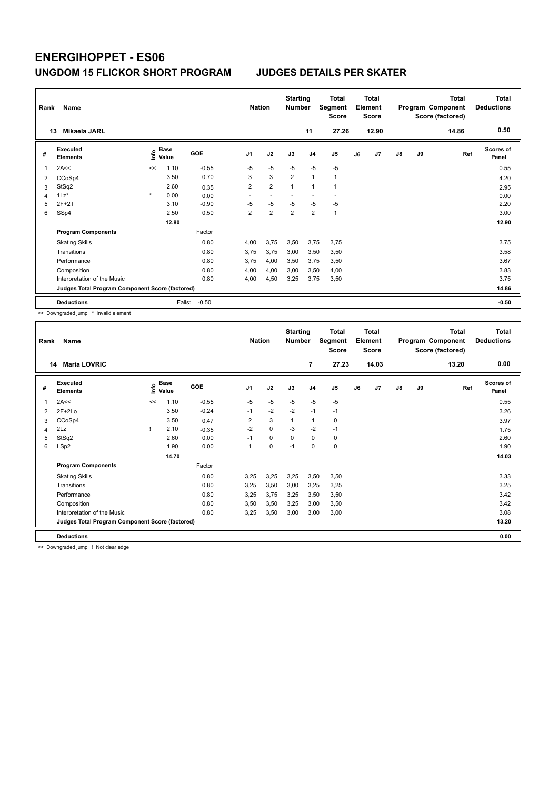| Rank | Name                                            | <b>Nation</b> |               | <b>Starting</b><br><b>Number</b> |                          | <b>Total</b><br>Segment<br><b>Score</b> |                | <b>Total</b><br>Element<br><b>Score</b> |                |    | <b>Total</b><br>Program Component<br>Score (factored) | Total<br><b>Deductions</b><br>0.50 |    |       |                           |
|------|-------------------------------------------------|---------------|---------------|----------------------------------|--------------------------|-----------------------------------------|----------------|-----------------------------------------|----------------|----|-------------------------------------------------------|------------------------------------|----|-------|---------------------------|
|      | Mikaela JARL<br>13                              |               |               |                                  |                          |                                         |                | 11                                      | 27.26          |    | 12.90                                                 |                                    |    | 14.86 |                           |
| #    | <b>Executed</b><br><b>Elements</b>              | ١nf٥          | Base<br>Value | <b>GOE</b>                       | J <sub>1</sub>           | J2                                      | J3             | J <sub>4</sub>                          | J5             | J6 | J7                                                    | J8                                 | J9 | Ref   | <b>Scores of</b><br>Panel |
| 1    | 2A<<                                            | <<            | 1.10          | $-0.55$                          | $-5$                     | $-5$                                    | $-5$           | $-5$                                    | $-5$           |    |                                                       |                                    |    |       | 0.55                      |
| 2    | CCoSp4                                          |               | 3.50          | 0.70                             | 3                        | 3                                       | $\overline{2}$ | $\overline{1}$                          | $\overline{1}$ |    |                                                       |                                    |    |       | 4.20                      |
| 3    | StSq2                                           |               | 2.60          | 0.35                             | $\overline{2}$           | $\overline{2}$                          | $\overline{1}$ | 1                                       |                |    |                                                       |                                    |    |       | 2.95                      |
| 4    | $1\text{Lz}^*$                                  | $\star$       | 0.00          | 0.00                             | $\overline{\phantom{a}}$ | $\overline{\phantom{a}}$                |                |                                         | ٠              |    |                                                       |                                    |    |       | 0.00                      |
| 5    | $2F+2T$                                         |               | 3.10          | $-0.90$                          | $-5$                     | $-5$                                    | $-5$           | $-5$                                    | -5             |    |                                                       |                                    |    |       | 2.20                      |
| 6    | SSp4                                            |               | 2.50          | 0.50                             | $\overline{2}$           | $\overline{2}$                          | $\overline{2}$ | $\overline{2}$                          | $\mathbf{1}$   |    |                                                       |                                    |    |       | 3.00                      |
|      |                                                 |               | 12.80         |                                  |                          |                                         |                |                                         |                |    |                                                       |                                    |    |       | 12.90                     |
|      | <b>Program Components</b>                       |               |               | Factor                           |                          |                                         |                |                                         |                |    |                                                       |                                    |    |       |                           |
|      | <b>Skating Skills</b>                           |               |               | 0.80                             | 4.00                     | 3,75                                    | 3,50           | 3,75                                    | 3,75           |    |                                                       |                                    |    |       | 3.75                      |
|      | Transitions                                     |               |               | 0.80                             | 3.75                     | 3,75                                    | 3,00           | 3,50                                    | 3,50           |    |                                                       |                                    |    |       | 3.58                      |
|      | Performance                                     |               |               | 0.80                             | 3.75                     | 4,00                                    | 3,50           | 3,75                                    | 3,50           |    |                                                       |                                    |    |       | 3.67                      |
|      | Composition                                     |               |               | 0.80                             | 4.00                     | 4,00                                    | 3,00           | 3,50                                    | 4,00           |    |                                                       |                                    |    |       | 3.83                      |
|      | Interpretation of the Music                     |               |               | 0.80                             | 4,00                     | 4,50                                    | 3,25           | 3,75                                    | 3,50           |    |                                                       |                                    |    |       | 3.75                      |
|      | Judges Total Program Component Score (factored) |               |               |                                  |                          |                                         |                |                                         |                |    |                                                       |                                    |    |       | 14.86                     |
|      | <b>Deductions</b>                               |               | Falls:        | $-0.50$                          |                          |                                         |                |                                         |                |    |                                                       |                                    |    |       | $-0.50$                   |

<< Downgraded jump \* Invalid element

| Rank | Name                                            | <b>Nation</b> |               | <b>Starting</b><br><b>Number</b> |                | <b>Total</b><br>Segment<br><b>Score</b> |          | <b>Total</b><br>Element<br><b>Score</b> |                |    | <b>Total</b><br>Program Component<br>Score (factored) | Total<br><b>Deductions</b> |    |       |                           |
|------|-------------------------------------------------|---------------|---------------|----------------------------------|----------------|-----------------------------------------|----------|-----------------------------------------|----------------|----|-------------------------------------------------------|----------------------------|----|-------|---------------------------|
| 14   | <b>Maria LOVRIC</b>                             |               |               |                                  |                |                                         |          | $\overline{7}$                          | 27.23          |    | 14.03                                                 |                            |    | 13.20 | 0.00                      |
| #    | Executed<br><b>Elements</b>                     | ١nfo          | Base<br>Value | GOE                              | J <sub>1</sub> | J2                                      | J3       | J <sub>4</sub>                          | J <sub>5</sub> | J6 | J7                                                    | J8                         | J9 | Ref   | <b>Scores of</b><br>Panel |
| 1    | 2A<<                                            | <<            | 1.10          | $-0.55$                          | $-5$           | $-5$                                    | $-5$     | $-5$                                    | $-5$           |    |                                                       |                            |    |       | 0.55                      |
| 2    | $2F+2Lo$                                        |               | 3.50          | $-0.24$                          | $-1$           | $-2$                                    | $-2$     | $-1$                                    | $-1$           |    |                                                       |                            |    |       | 3.26                      |
| 3    | CCoSp4                                          |               | 3.50          | 0.47                             | $\overline{2}$ | 3                                       | 1        | $\mathbf{1}$                            | 0              |    |                                                       |                            |    |       | 3.97                      |
| 4    | 2Lz                                             |               | 2.10          | $-0.35$                          | $-2$           | $\mathbf 0$                             | -3       | $-2$                                    | $-1$           |    |                                                       |                            |    |       | 1.75                      |
| 5    | StSq2                                           |               | 2.60          | 0.00                             | $-1$           | 0                                       | $\Omega$ | 0                                       | 0              |    |                                                       |                            |    |       | 2.60                      |
| 6    | LSp2                                            |               | 1.90          | 0.00                             | 1              | 0                                       | $-1$     | $\mathbf 0$                             | 0              |    |                                                       |                            |    |       | 1.90                      |
|      |                                                 |               | 14.70         |                                  |                |                                         |          |                                         |                |    |                                                       |                            |    |       | 14.03                     |
|      | <b>Program Components</b>                       |               |               | Factor                           |                |                                         |          |                                         |                |    |                                                       |                            |    |       |                           |
|      | <b>Skating Skills</b>                           |               |               | 0.80                             | 3,25           | 3,25                                    | 3,25     | 3,50                                    | 3,50           |    |                                                       |                            |    |       | 3.33                      |
|      | Transitions                                     |               |               | 0.80                             | 3,25           | 3,50                                    | 3,00     | 3,25                                    | 3,25           |    |                                                       |                            |    |       | 3.25                      |
|      | Performance                                     |               |               | 0.80                             | 3,25           | 3,75                                    | 3,25     | 3,50                                    | 3,50           |    |                                                       |                            |    |       | 3.42                      |
|      | Composition                                     |               |               | 0.80                             | 3,50           | 3,50                                    | 3,25     | 3,00                                    | 3,50           |    |                                                       |                            |    |       | 3.42                      |
|      | Interpretation of the Music                     |               |               | 0.80                             | 3,25           | 3,50                                    | 3,00     | 3,00                                    | 3,00           |    |                                                       |                            |    |       | 3.08                      |
|      | Judges Total Program Component Score (factored) |               |               |                                  |                |                                         |          |                                         |                |    |                                                       |                            |    |       | 13.20                     |
|      | <b>Deductions</b>                               |               |               |                                  |                |                                         |          |                                         |                |    |                                                       |                            |    |       | 0.00                      |

<< Downgraded jump ! Not clear edge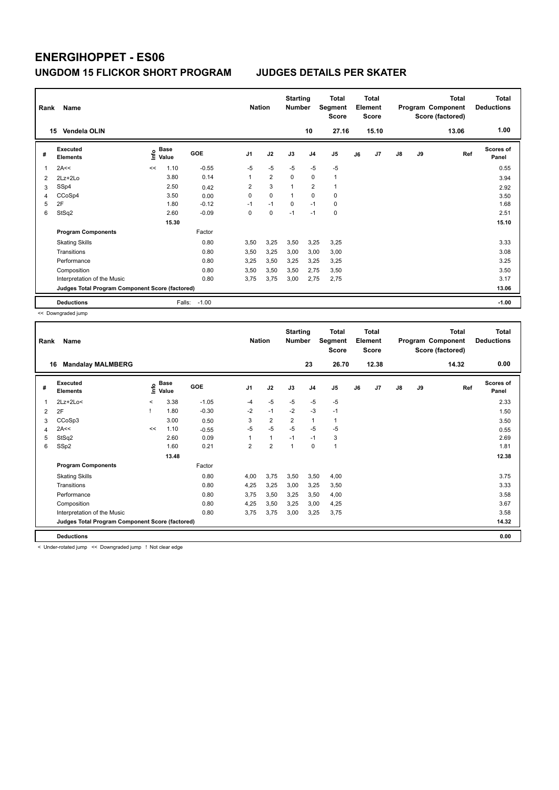| Rank           | Name                                            |      |                      |            | <b>Nation</b>  |                | <b>Starting</b><br><b>Number</b> |                | <b>Total</b><br>Segment<br><b>Score</b> |    | <b>Total</b><br>Element<br><b>Score</b> |               |    | <b>Total</b><br>Program Component<br>Score (factored) | <b>Total</b><br><b>Deductions</b> |
|----------------|-------------------------------------------------|------|----------------------|------------|----------------|----------------|----------------------------------|----------------|-----------------------------------------|----|-----------------------------------------|---------------|----|-------------------------------------------------------|-----------------------------------|
|                | Vendela OLIN<br>15                              |      |                      |            |                |                |                                  | 10             | 27.16                                   |    | 15.10                                   |               |    | 13.06                                                 | 1.00                              |
| #              | <b>Executed</b><br><b>Elements</b>              | ١nf٥ | <b>Base</b><br>Value | <b>GOE</b> | J <sub>1</sub> | J2             | J3                               | J <sub>4</sub> | J5                                      | J6 | J7                                      | $\mathsf{J}8$ | J9 | Ref                                                   | Scores of<br>Panel                |
| 1              | 2A<<                                            | <<   | 1.10                 | $-0.55$    | $-5$           | $-5$           | $-5$                             | $-5$           | $-5$                                    |    |                                         |               |    |                                                       | 0.55                              |
| $\overline{2}$ | $2Lz+2Lo$                                       |      | 3.80                 | 0.14       | 1              | $\overline{2}$ | 0                                | 0              | $\mathbf{1}$                            |    |                                         |               |    |                                                       | 3.94                              |
| 3              | SSp4                                            |      | 2.50                 | 0.42       | 2              | 3              | $\overline{1}$                   | $\overline{2}$ | 1                                       |    |                                         |               |    |                                                       | 2.92                              |
| 4              | CCoSp4                                          |      | 3.50                 | 0.00       | 0              | $\mathbf 0$    | 1                                | $\Omega$       | 0                                       |    |                                         |               |    |                                                       | 3.50                              |
| 5              | 2F                                              |      | 1.80                 | $-0.12$    | $-1$           | $-1$           | 0                                | $-1$           | $\pmb{0}$                               |    |                                         |               |    |                                                       | 1.68                              |
| 6              | StSq2                                           |      | 2.60                 | $-0.09$    | 0              | $\mathbf 0$    | $-1$                             | $-1$           | $\mathbf 0$                             |    |                                         |               |    |                                                       | 2.51                              |
|                |                                                 |      | 15.30                |            |                |                |                                  |                |                                         |    |                                         |               |    |                                                       | 15.10                             |
|                | <b>Program Components</b>                       |      |                      | Factor     |                |                |                                  |                |                                         |    |                                         |               |    |                                                       |                                   |
|                | <b>Skating Skills</b>                           |      |                      | 0.80       | 3,50           | 3,25           | 3,50                             | 3,25           | 3,25                                    |    |                                         |               |    |                                                       | 3.33                              |
|                | Transitions                                     |      |                      | 0.80       | 3,50           | 3,25           | 3,00                             | 3,00           | 3,00                                    |    |                                         |               |    |                                                       | 3.08                              |
|                | Performance                                     |      |                      | 0.80       | 3,25           | 3,50           | 3,25                             | 3,25           | 3,25                                    |    |                                         |               |    |                                                       | 3.25                              |
|                | Composition                                     |      |                      | 0.80       | 3.50           | 3,50           | 3.50                             | 2.75           | 3,50                                    |    |                                         |               |    |                                                       | 3.50                              |
|                | Interpretation of the Music                     |      |                      | 0.80       | 3,75           | 3,75           | 3,00                             | 2,75           | 2,75                                    |    |                                         |               |    |                                                       | 3.17                              |
|                | Judges Total Program Component Score (factored) |      |                      |            |                |                |                                  |                |                                         |    |                                         |               |    |                                                       | 13.06                             |
|                | <b>Deductions</b>                               |      | Falls:               | $-1.00$    |                |                |                                  |                |                                         |    |                                         |               |    |                                                       | $-1.00$                           |

<< Downgraded jump

| Rank | Name                                            |         |                      |            | <b>Nation</b>  |                | <b>Starting</b><br><b>Number</b> | 23             | Total<br>Segment<br><b>Score</b><br>26.70 |    | Total<br>Element<br><b>Score</b><br>12.38 |               |    | <b>Total</b><br>Program Component<br>Score (factored)<br>14.32 | Total<br><b>Deductions</b><br>0.00 |
|------|-------------------------------------------------|---------|----------------------|------------|----------------|----------------|----------------------------------|----------------|-------------------------------------------|----|-------------------------------------------|---------------|----|----------------------------------------------------------------|------------------------------------|
| 16   | <b>Mandalay MALMBERG</b>                        |         |                      |            |                |                |                                  |                |                                           |    |                                           |               |    |                                                                |                                    |
| #    | Executed<br><b>Elements</b>                     | ١nf٥    | <b>Base</b><br>Value | <b>GOE</b> | J <sub>1</sub> | J2             | J3                               | J <sub>4</sub> | J5                                        | J6 | J7                                        | $\mathsf{J}8$ | J9 | Ref                                                            | <b>Scores of</b><br>Panel          |
| 1    | $2Lz+2Lo<$                                      | $\,<\,$ | 3.38                 | $-1.05$    | $-4$           | $-5$           | $-5$                             | $-5$           | $-5$                                      |    |                                           |               |    |                                                                | 2.33                               |
| 2    | 2F                                              |         | 1.80                 | $-0.30$    | $-2$           | $-1$           | $-2$                             | $-3$           | $-1$                                      |    |                                           |               |    |                                                                | 1.50                               |
| 3    | CCoSp3                                          |         | 3.00                 | 0.50       | 3              | $\overline{2}$ | $\overline{2}$                   | $\mathbf{1}$   | 1                                         |    |                                           |               |    |                                                                | 3.50                               |
| 4    | 2A<<                                            | <<      | 1.10                 | $-0.55$    | $-5$           | $-5$           | $-5$                             | $-5$           | $-5$                                      |    |                                           |               |    |                                                                | 0.55                               |
| 5    | StSq2                                           |         | 2.60                 | 0.09       |                | $\mathbf{1}$   | $-1$                             | $-1$           | 3                                         |    |                                           |               |    |                                                                | 2.69                               |
| 6    | SSp2                                            |         | 1.60                 | 0.21       | 2              | $\overline{2}$ | 1                                | 0              | $\mathbf{1}$                              |    |                                           |               |    |                                                                | 1.81                               |
|      |                                                 |         | 13.48                |            |                |                |                                  |                |                                           |    |                                           |               |    |                                                                | 12.38                              |
|      | <b>Program Components</b>                       |         |                      | Factor     |                |                |                                  |                |                                           |    |                                           |               |    |                                                                |                                    |
|      | <b>Skating Skills</b>                           |         |                      | 0.80       | 4,00           | 3,75           | 3,50                             | 3,50           | 4,00                                      |    |                                           |               |    |                                                                | 3.75                               |
|      | Transitions                                     |         |                      | 0.80       | 4,25           | 3,25           | 3,00                             | 3,25           | 3,50                                      |    |                                           |               |    |                                                                | 3.33                               |
|      | Performance                                     |         |                      | 0.80       | 3.75           | 3,50           | 3,25                             | 3,50           | 4,00                                      |    |                                           |               |    |                                                                | 3.58                               |
|      | Composition                                     |         |                      | 0.80       | 4,25           | 3,50           | 3,25                             | 3,00           | 4,25                                      |    |                                           |               |    |                                                                | 3.67                               |
|      | Interpretation of the Music                     |         |                      | 0.80       | 3,75           | 3,75           | 3,00                             | 3,25           | 3,75                                      |    |                                           |               |    |                                                                | 3.58                               |
|      | Judges Total Program Component Score (factored) |         |                      |            |                |                |                                  |                |                                           |    |                                           |               |    |                                                                | 14.32                              |
|      | <b>Deductions</b>                               |         |                      |            |                |                |                                  |                |                                           |    |                                           |               |    |                                                                | 0.00                               |

< Under-rotated jump << Downgraded jump ! Not clear edge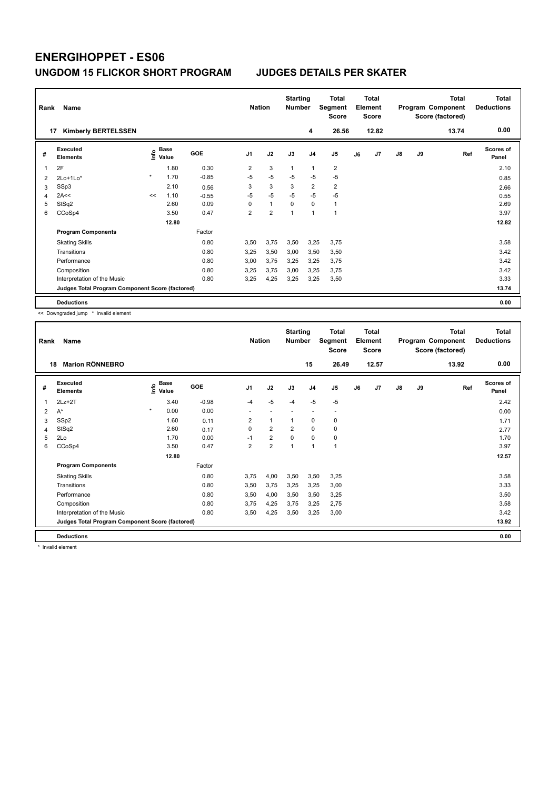| Rank | Name                                            |         |                      |         | <b>Nation</b>  |                | <b>Starting</b><br><b>Number</b> |                | Total<br>Segment<br><b>Score</b> |    | <b>Total</b><br>Element<br><b>Score</b> |               |    | <b>Total</b><br>Program Component<br>Score (factored) | Total<br><b>Deductions</b> |
|------|-------------------------------------------------|---------|----------------------|---------|----------------|----------------|----------------------------------|----------------|----------------------------------|----|-----------------------------------------|---------------|----|-------------------------------------------------------|----------------------------|
|      | <b>Kimberly BERTELSSEN</b><br>17                |         |                      |         |                |                |                                  | 4              | 26.56                            |    | 12.82                                   |               |    | 13.74                                                 | 0.00                       |
| #    | Executed<br><b>Elements</b>                     | ١nf٥    | <b>Base</b><br>Value | GOE     | J <sub>1</sub> | J2             | J3                               | J <sub>4</sub> | J <sub>5</sub>                   | J6 | J7                                      | $\mathsf{J}8$ | J9 | Ref                                                   | <b>Scores of</b><br>Panel  |
| 1    | 2F                                              |         | 1.80                 | 0.30    | $\overline{2}$ | 3              | $\overline{1}$                   | $\mathbf{1}$   | $\overline{2}$                   |    |                                         |               |    |                                                       | 2.10                       |
| 2    | $2Lo+1Lo*$                                      | $\star$ | 1.70                 | $-0.85$ | $-5$           | $-5$           | $-5$                             | $-5$           | $-5$                             |    |                                         |               |    |                                                       | 0.85                       |
| 3    | SSp3                                            |         | 2.10                 | 0.56    | 3              | 3              | 3                                | $\overline{2}$ | $\overline{2}$                   |    |                                         |               |    |                                                       | 2.66                       |
| 4    | 2A<<                                            | <<      | 1.10                 | $-0.55$ | $-5$           | $-5$           | $-5$                             | $-5$           | $-5$                             |    |                                         |               |    |                                                       | 0.55                       |
| 5    | StSq2                                           |         | 2.60                 | 0.09    | 0              | $\mathbf{1}$   | $\mathbf 0$                      | $\mathbf 0$    | $\mathbf{1}$                     |    |                                         |               |    |                                                       | 2.69                       |
| 6    | CCoSp4                                          |         | 3.50                 | 0.47    | $\overline{2}$ | $\overline{2}$ | 1                                | $\overline{1}$ | $\mathbf{1}$                     |    |                                         |               |    |                                                       | 3.97                       |
|      |                                                 |         | 12.80                |         |                |                |                                  |                |                                  |    |                                         |               |    |                                                       | 12.82                      |
|      | <b>Program Components</b>                       |         |                      | Factor  |                |                |                                  |                |                                  |    |                                         |               |    |                                                       |                            |
|      | <b>Skating Skills</b>                           |         |                      | 0.80    | 3.50           | 3,75           | 3,50                             | 3,25           | 3.75                             |    |                                         |               |    |                                                       | 3.58                       |
|      | Transitions                                     |         |                      | 0.80    | 3,25           | 3,50           | 3,00                             | 3,50           | 3,50                             |    |                                         |               |    |                                                       | 3.42                       |
|      | Performance                                     |         |                      | 0.80    | 3.00           | 3,75           | 3,25                             | 3,25           | 3,75                             |    |                                         |               |    |                                                       | 3.42                       |
|      | Composition                                     |         |                      | 0.80    | 3,25           | 3,75           | 3,00                             | 3,25           | 3,75                             |    |                                         |               |    |                                                       | 3.42                       |
|      | Interpretation of the Music                     |         |                      | 0.80    | 3,25           | 4,25           | 3,25                             | 3,25           | 3,50                             |    |                                         |               |    |                                                       | 3.33                       |
|      | Judges Total Program Component Score (factored) |         |                      |         |                |                |                                  |                |                                  |    |                                         |               |    |                                                       | 13.74                      |
|      | <b>Deductions</b>                               |         |                      |         |                |                |                                  |                |                                  |    |                                         |               |    |                                                       | 0.00                       |

<< Downgraded jump \* Invalid element

| Rank | Name                                            |                              |            | <b>Nation</b>           |                | <b>Starting</b><br><b>Number</b> |                | <b>Total</b><br>Segment<br>Score |    | <b>Total</b><br>Element<br><b>Score</b> |               |    | <b>Total</b><br>Program Component<br>Score (factored) | <b>Total</b><br><b>Deductions</b> |
|------|-------------------------------------------------|------------------------------|------------|-------------------------|----------------|----------------------------------|----------------|----------------------------------|----|-----------------------------------------|---------------|----|-------------------------------------------------------|-----------------------------------|
|      | <b>Marion RÖNNEBRO</b><br>18                    |                              |            |                         |                |                                  | 15             | 26.49                            |    | 12.57                                   |               |    | 13.92                                                 | 0.00                              |
| #    | Executed<br><b>Elements</b>                     | <b>Base</b><br>١nf٥<br>Value | <b>GOE</b> | J <sub>1</sub>          | J2             | J3                               | J <sub>4</sub> | J5                               | J6 | J7                                      | $\mathsf{J}8$ | J9 | Ref                                                   | Scores of<br>Panel                |
| 1    | $2Lz+2T$                                        | 3.40                         | $-0.98$    | $-4$                    | $-5$           | $-4$                             | $-5$           | $-5$                             |    |                                         |               |    |                                                       | 2.42                              |
| 2    | $A^*$                                           | $\star$<br>0.00              | 0.00       |                         |                |                                  |                | $\overline{\phantom{a}}$         |    |                                         |               |    |                                                       | 0.00                              |
| 3    | SSp2                                            | 1.60                         | 0.11       | 2                       | 1              | 1                                | 0              | 0                                |    |                                         |               |    |                                                       | 1.71                              |
| 4    | StSq2                                           | 2.60                         | 0.17       | 0                       | $\overline{2}$ | $\overline{2}$                   | $\mathbf 0$    | 0                                |    |                                         |               |    |                                                       | 2.77                              |
| 5    | 2Lo                                             | 1.70                         | 0.00       | $-1$                    | $\overline{2}$ | $\Omega$                         | 0              | 0                                |    |                                         |               |    |                                                       | 1.70                              |
| 6    | CCoSp4                                          | 3.50                         | 0.47       | $\overline{\mathbf{c}}$ | $\overline{2}$ | 1                                | 1              | 1                                |    |                                         |               |    |                                                       | 3.97                              |
|      |                                                 | 12.80                        |            |                         |                |                                  |                |                                  |    |                                         |               |    |                                                       | 12.57                             |
|      | <b>Program Components</b>                       |                              | Factor     |                         |                |                                  |                |                                  |    |                                         |               |    |                                                       |                                   |
|      | <b>Skating Skills</b>                           |                              | 0.80       | 3,75                    | 4,00           | 3,50                             | 3,50           | 3,25                             |    |                                         |               |    |                                                       | 3.58                              |
|      | Transitions                                     |                              | 0.80       | 3,50                    | 3,75           | 3,25                             | 3,25           | 3,00                             |    |                                         |               |    |                                                       | 3.33                              |
|      | Performance                                     |                              | 0.80       | 3,50                    | 4,00           | 3,50                             | 3,50           | 3,25                             |    |                                         |               |    |                                                       | 3.50                              |
|      | Composition                                     |                              | 0.80       | 3,75                    | 4,25           | 3,75                             | 3,25           | 2,75                             |    |                                         |               |    |                                                       | 3.58                              |
|      | Interpretation of the Music                     |                              | 0.80       | 3,50                    | 4,25           | 3,50                             | 3,25           | 3,00                             |    |                                         |               |    |                                                       | 3.42                              |
|      | Judges Total Program Component Score (factored) |                              |            |                         |                |                                  |                |                                  |    |                                         |               |    |                                                       | 13.92                             |
|      | <b>Deductions</b>                               |                              |            |                         |                |                                  |                |                                  |    |                                         |               |    |                                                       | 0.00                              |

\* Invalid element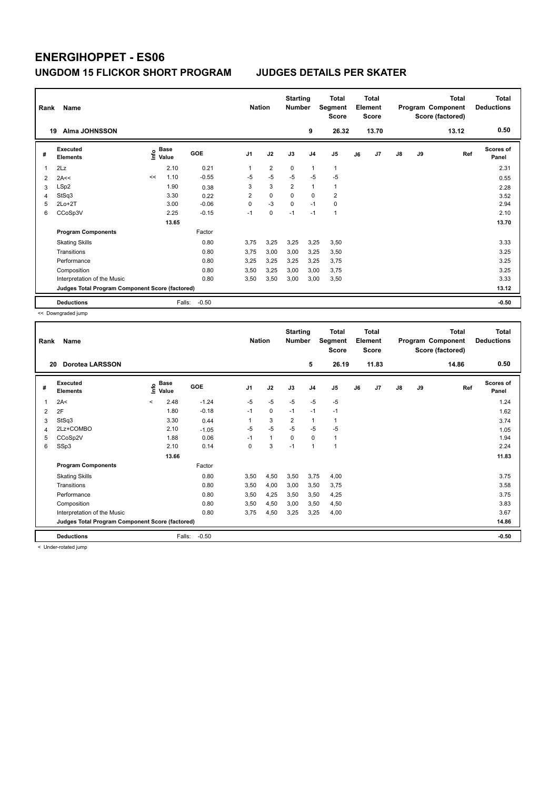| Rank | Name                                            |      |               |         | <b>Nation</b>  |                | <b>Starting</b><br><b>Number</b> |                | <b>Total</b><br>Segment<br><b>Score</b> |    | <b>Total</b><br>Element<br><b>Score</b> |               |    | <b>Total</b><br>Program Component<br>Score (factored) | Total<br><b>Deductions</b> |
|------|-------------------------------------------------|------|---------------|---------|----------------|----------------|----------------------------------|----------------|-----------------------------------------|----|-----------------------------------------|---------------|----|-------------------------------------------------------|----------------------------|
| 19   | Alma JOHNSSON                                   |      |               |         |                |                |                                  | 9              | 26.32                                   |    | 13.70                                   |               |    | 13.12                                                 | 0.50                       |
| #    | Executed<br><b>Elements</b>                     | ١nf٥ | Base<br>Value | GOE     | J <sub>1</sub> | J2             | J3                               | J <sub>4</sub> | J <sub>5</sub>                          | J6 | J7                                      | $\mathsf{J}8$ | J9 | Ref                                                   | <b>Scores of</b><br>Panel  |
| 1    | 2Lz                                             |      | 2.10          | 0.21    | 1              | $\overline{2}$ | 0                                | $\mathbf{1}$   | 1                                       |    |                                         |               |    |                                                       | 2.31                       |
| 2    | 2A<<                                            | <<   | 1.10          | $-0.55$ | $-5$           | $-5$           | $-5$                             | $-5$           | $-5$                                    |    |                                         |               |    |                                                       | 0.55                       |
| 3    | LSp2                                            |      | 1.90          | 0.38    | 3              | 3              | $\overline{2}$                   | $\mathbf{1}$   | $\mathbf{1}$                            |    |                                         |               |    |                                                       | 2.28                       |
| 4    | StSq3                                           |      | 3.30          | 0.22    | $\overline{2}$ | $\mathbf 0$    | $\Omega$                         | $\Omega$       | $\overline{2}$                          |    |                                         |               |    |                                                       | 3.52                       |
| 5    | $2Lo+2T$                                        |      | 3.00          | $-0.06$ | $\Omega$       | $-3$           | $\mathbf 0$                      | $-1$           | 0                                       |    |                                         |               |    |                                                       | 2.94                       |
| 6    | CCoSp3V                                         |      | 2.25          | $-0.15$ | $-1$           | $\mathbf 0$    | $-1$                             | $-1$           | $\mathbf{1}$                            |    |                                         |               |    |                                                       | 2.10                       |
|      |                                                 |      | 13.65         |         |                |                |                                  |                |                                         |    |                                         |               |    |                                                       | 13.70                      |
|      | <b>Program Components</b>                       |      |               | Factor  |                |                |                                  |                |                                         |    |                                         |               |    |                                                       |                            |
|      | <b>Skating Skills</b>                           |      |               | 0.80    | 3.75           | 3,25           | 3,25                             | 3,25           | 3,50                                    |    |                                         |               |    |                                                       | 3.33                       |
|      | Transitions                                     |      |               | 0.80    | 3.75           | 3,00           | 3,00                             | 3,25           | 3,50                                    |    |                                         |               |    |                                                       | 3.25                       |
|      | Performance                                     |      |               | 0.80    | 3,25           | 3,25           | 3,25                             | 3,25           | 3,75                                    |    |                                         |               |    |                                                       | 3.25                       |
|      | Composition                                     |      |               | 0.80    | 3,50           | 3,25           | 3,00                             | 3,00           | 3.75                                    |    |                                         |               |    |                                                       | 3.25                       |
|      | Interpretation of the Music                     |      |               | 0.80    | 3,50           | 3,50           | 3,00                             | 3,00           | 3,50                                    |    |                                         |               |    |                                                       | 3.33                       |
|      | Judges Total Program Component Score (factored) |      |               |         |                |                |                                  |                |                                         |    |                                         |               |    |                                                       | 13.12                      |
|      | <b>Deductions</b>                               |      | Falls:        | $-0.50$ |                |                |                                  |                |                                         |    |                                         |               |    |                                                       | $-0.50$                    |

<< Downgraded jump

| Rank | Name                                            |                          |                      |         | <b>Nation</b>  |              | <b>Starting</b><br><b>Number</b> |                | <b>Total</b><br>Segment<br><b>Score</b> |    | Total<br>Element<br><b>Score</b> |               |    | <b>Total</b><br>Program Component<br>Score (factored) | <b>Total</b><br><b>Deductions</b> |
|------|-------------------------------------------------|--------------------------|----------------------|---------|----------------|--------------|----------------------------------|----------------|-----------------------------------------|----|----------------------------------|---------------|----|-------------------------------------------------------|-----------------------------------|
| 20   | <b>Dorotea LARSSON</b>                          |                          |                      |         |                |              |                                  | 5              | 26.19                                   |    | 11.83                            |               |    | 14.86                                                 | 0.50                              |
| #    | <b>Executed</b><br><b>Elements</b>              | ١nf٥                     | <b>Base</b><br>Value | GOE     | J <sub>1</sub> | J2           | J3                               | J <sub>4</sub> | J <sub>5</sub>                          | J6 | J7                               | $\mathsf{J}8$ | J9 | Ref                                                   | <b>Scores of</b><br>Panel         |
| 1    | 2A<                                             | $\overline{\phantom{0}}$ | 2.48                 | $-1.24$ | $-5$           | $-5$         | $-5$                             | $-5$           | $-5$                                    |    |                                  |               |    |                                                       | 1.24                              |
| 2    | 2F                                              |                          | 1.80                 | $-0.18$ | $-1$           | 0            | $-1$                             | $-1$           | $-1$                                    |    |                                  |               |    |                                                       | 1.62                              |
| 3    | StSq3                                           |                          | 3.30                 | 0.44    | 1              | 3            | $\overline{2}$                   | $\mathbf{1}$   | 1                                       |    |                                  |               |    |                                                       | 3.74                              |
| 4    | 2Lz+COMBO                                       |                          | 2.10                 | $-1.05$ | $-5$           | $-5$         | $-5$                             | $-5$           | $-5$                                    |    |                                  |               |    |                                                       | 1.05                              |
| 5    | CCoSp2V                                         |                          | 1.88                 | 0.06    | $-1$           | $\mathbf{1}$ | $\Omega$                         | 0              | 1                                       |    |                                  |               |    |                                                       | 1.94                              |
| 6    | SSp3                                            |                          | 2.10                 | 0.14    | 0              | 3            | $-1$                             | $\mathbf{1}$   | 1                                       |    |                                  |               |    |                                                       | 2.24                              |
|      |                                                 |                          | 13.66                |         |                |              |                                  |                |                                         |    |                                  |               |    |                                                       | 11.83                             |
|      | <b>Program Components</b>                       |                          |                      | Factor  |                |              |                                  |                |                                         |    |                                  |               |    |                                                       |                                   |
|      | <b>Skating Skills</b>                           |                          |                      | 0.80    | 3,50           | 4,50         | 3,50                             | 3,75           | 4,00                                    |    |                                  |               |    |                                                       | 3.75                              |
|      | Transitions                                     |                          |                      | 0.80    | 3,50           | 4,00         | 3,00                             | 3,50           | 3,75                                    |    |                                  |               |    |                                                       | 3.58                              |
|      | Performance                                     |                          |                      | 0.80    | 3,50           | 4,25         | 3,50                             | 3,50           | 4,25                                    |    |                                  |               |    |                                                       | 3.75                              |
|      | Composition                                     |                          |                      | 0.80    | 3,50           | 4,50         | 3,00                             | 3,50           | 4,50                                    |    |                                  |               |    |                                                       | 3.83                              |
|      | Interpretation of the Music                     |                          |                      | 0.80    | 3,75           | 4,50         | 3,25                             | 3,25           | 4,00                                    |    |                                  |               |    |                                                       | 3.67                              |
|      | Judges Total Program Component Score (factored) |                          |                      |         |                |              |                                  |                |                                         |    |                                  |               |    |                                                       | 14.86                             |
|      | <b>Deductions</b>                               |                          | Falls:               | $-0.50$ |                |              |                                  |                |                                         |    |                                  |               |    |                                                       | $-0.50$                           |
|      | .                                               |                          |                      |         |                |              |                                  |                |                                         |    |                                  |               |    |                                                       |                                   |

< Under-rotated jump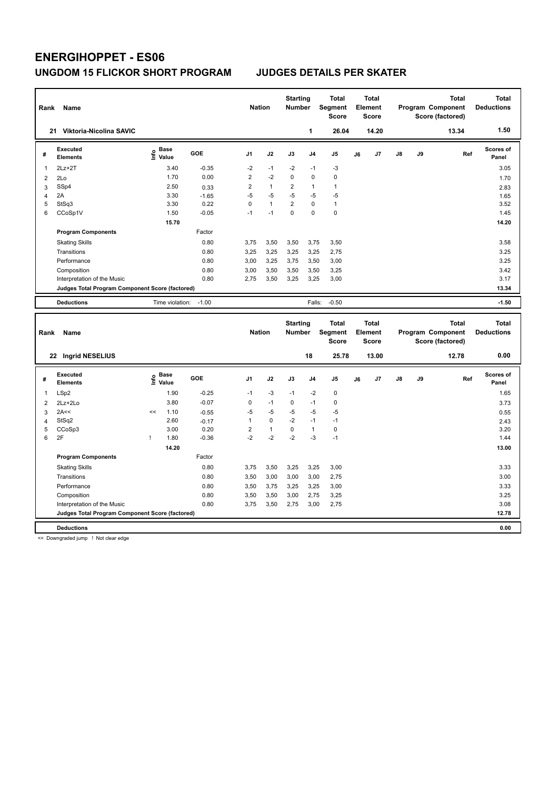| Rank           | Name                                            |                   |            | <b>Nation</b>  |              | <b>Starting</b><br><b>Number</b> |                | <b>Total</b><br>Segment<br><b>Score</b> |    | <b>Total</b><br>Element<br><b>Score</b> |    |    | <b>Total</b><br>Program Component<br>Score (factored) | <b>Total</b><br><b>Deductions</b> |
|----------------|-------------------------------------------------|-------------------|------------|----------------|--------------|----------------------------------|----------------|-----------------------------------------|----|-----------------------------------------|----|----|-------------------------------------------------------|-----------------------------------|
|                | 21 Viktoria-Nicolina SAVIC                      |                   |            |                |              |                                  | 1              | 26.04                                   |    | 14.20                                   |    |    | 13.34                                                 | 1.50                              |
| #              | <b>Executed</b><br><b>Elements</b>              | e Base<br>E Value | GOE        | J <sub>1</sub> | J2           | J3                               | J <sub>4</sub> | J5                                      | J6 | J7                                      | J8 | J9 | Ref                                                   | <b>Scores of</b><br>Panel         |
| 1              | $2Lz+2T$                                        | 3.40              | $-0.35$    | $-2$           | $-1$         | $-2$                             | $-1$           | $-3$                                    |    |                                         |    |    |                                                       | 3.05                              |
| $\overline{2}$ | 2Lo                                             | 1.70              | 0.00       | $\overline{2}$ | $-2$         | 0                                | $\mathbf 0$    | $\pmb{0}$                               |    |                                         |    |    |                                                       | 1.70                              |
| 3              | SSp4                                            | 2.50              | 0.33       | $\overline{2}$ | $\mathbf{1}$ | $\overline{2}$                   | $\mathbf{1}$   | $\mathbf{1}$                            |    |                                         |    |    |                                                       | 2.83                              |
| 4              | 2A                                              | 3.30              | $-1.65$    | $-5$           | $-5$         | $-5$                             | $-5$           | $-5$                                    |    |                                         |    |    |                                                       | 1.65                              |
| 5              | StSq3                                           | 3.30              | 0.22       | 0              | $\mathbf{1}$ | $\overline{\mathbf{c}}$          | $\pmb{0}$      | $\mathbf{1}$                            |    |                                         |    |    |                                                       | 3.52                              |
| 6              | CCoSp1V                                         | 1.50              | $-0.05$    | $-1$           | $-1$         | 0                                | $\mathbf 0$    | $\pmb{0}$                               |    |                                         |    |    |                                                       | 1.45                              |
|                |                                                 | 15.70             |            |                |              |                                  |                |                                         |    |                                         |    |    |                                                       | 14.20                             |
|                | <b>Program Components</b>                       |                   | Factor     |                |              |                                  |                |                                         |    |                                         |    |    |                                                       |                                   |
|                | <b>Skating Skills</b>                           |                   | 0.80       | 3,75           | 3,50         | 3,50                             | 3,75           | 3,50                                    |    |                                         |    |    |                                                       | 3.58                              |
|                | Transitions                                     |                   | 0.80       | 3,25           | 3,25         | 3,25                             | 3,25           | 2,75                                    |    |                                         |    |    |                                                       | 3.25                              |
|                | Performance                                     |                   | 0.80       | 3,00           | 3,25         | 3,75                             | 3,50           | 3,00                                    |    |                                         |    |    |                                                       | 3.25                              |
|                | Composition                                     |                   | 0.80       | 3,00           | 3,50         | 3,50                             | 3,50           | 3,25                                    |    |                                         |    |    |                                                       | 3.42                              |
|                | Interpretation of the Music                     |                   | 0.80       | 2,75           | 3,50         | 3,25                             | 3,25           | 3,00                                    |    |                                         |    |    |                                                       | 3.17                              |
|                | Judges Total Program Component Score (factored) |                   |            |                |              |                                  |                |                                         |    |                                         |    |    |                                                       | 13.34                             |
|                |                                                 |                   |            |                |              |                                  |                |                                         |    |                                         |    |    |                                                       |                                   |
|                | <b>Deductions</b>                               | Time violation:   | $-1.00$    |                |              |                                  | Falls:         | $-0.50$                                 |    |                                         |    |    |                                                       | $-1.50$                           |
|                |                                                 |                   |            |                |              |                                  |                |                                         |    |                                         |    |    |                                                       |                                   |
|                |                                                 |                   |            |                |              |                                  |                |                                         |    |                                         |    |    |                                                       |                                   |
|                |                                                 |                   |            |                |              | <b>Starting</b>                  |                | <b>Total</b>                            |    | <b>Total</b>                            |    |    | <b>Total</b>                                          | <b>Total</b>                      |
| Rank           | Name                                            |                   |            | <b>Nation</b>  |              | <b>Number</b>                    |                | Segment                                 |    | Element                                 |    |    | Program Component                                     | <b>Deductions</b>                 |
|                |                                                 |                   |            |                |              |                                  |                | <b>Score</b>                            |    | Score                                   |    |    | Score (factored)                                      |                                   |
|                | 22 Ingrid NESELIUS                              |                   |            |                |              |                                  | 18             | 25.78                                   |    | 13.00                                   |    |    | 12.78                                                 | 0.00                              |
|                | <b>Executed</b>                                 | <b>Base</b>       | <b>GOE</b> | J1             | J2           | J3                               | J <sub>4</sub> | J5                                      |    | J7                                      | J8 | J9 | Ref                                                   | Scores of                         |
| #              | <b>Elements</b>                                 | ١nf٥<br>Value     |            |                |              |                                  |                |                                         | J6 |                                         |    |    |                                                       | Panel                             |
| 1              | LSp2                                            | 1.90              | $-0.25$    | $-1$           | -3           | $-1$                             | $-2$           | $\mathbf 0$                             |    |                                         |    |    |                                                       | 1.65                              |
| $\overline{2}$ | 2Lz+2Lo                                         | 3.80              | $-0.07$    | 0              | $-1$         | 0                                | $-1$           | $\mathbf 0$                             |    |                                         |    |    |                                                       | 3.73                              |
| 3              | 2A<<                                            | 1.10<br><<        | $-0.55$    | $-5$           | $-5$         | $-5$                             | $-5$           | $-5$                                    |    |                                         |    |    |                                                       | 0.55                              |
| 4              | StSq2                                           | 2.60              | $-0.17$    | $\mathbf{1}$   | $\pmb{0}$    | $-2$                             | $-1$           | $-1$                                    |    |                                         |    |    |                                                       | 2.43                              |
| 5              | CCoSp3                                          | 3.00              | 0.20       | $\overline{c}$ | $\mathbf{1}$ | $\mathbf 0$                      | $\mathbf{1}$   | $\mathbf 0$                             |    |                                         |    |    |                                                       | 3.20                              |
| 6              | 2F                                              | 1.80<br>ı         | $-0.36$    | $-2$           | $-2$         | $-2$                             | $-3$           | $-1$                                    |    |                                         |    |    |                                                       | 1.44                              |
|                |                                                 | 14.20             |            |                |              |                                  |                |                                         |    |                                         |    |    |                                                       | 13.00                             |
|                | <b>Program Components</b>                       |                   | Factor     |                |              |                                  |                |                                         |    |                                         |    |    |                                                       |                                   |
|                | <b>Skating Skills</b>                           |                   | 0.80       | 3,75           | 3,50         | 3,25                             | 3,25           | 3,00                                    |    |                                         |    |    |                                                       | 3.33                              |
|                | Transitions                                     |                   | 0.80       | 3,50           | 3,00         | 3,00                             | 3,00           | 2,75                                    |    |                                         |    |    |                                                       | 3.00                              |
|                | Performance                                     |                   | 0.80       | 3,50           | 3,75         | 3,25                             | 3,25           | 3,00                                    |    |                                         |    |    |                                                       | 3.33                              |
|                | Composition                                     |                   | 0.80       | 3,50           | 3,50         | 3,00                             | 2,75           | 3,25                                    |    |                                         |    |    |                                                       | 3.25                              |
|                | Interpretation of the Music                     |                   | 0.80       | 3,75           | 3,50         | 2,75                             | 3,00           | 2,75                                    |    |                                         |    |    |                                                       | 3.08                              |
|                | Judges Total Program Component Score (factored) |                   |            |                |              |                                  |                |                                         |    |                                         |    |    |                                                       | 12.78                             |

<< Downgraded jump ! Not clear edge